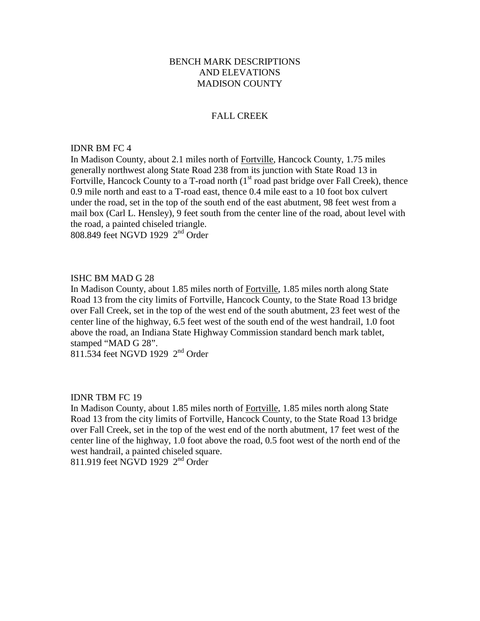# BENCH MARK DESCRIPTIONS AND ELEVATIONS MADISON COUNTY

# FALL CREEK

## IDNR BM FC 4

In Madison County, about 2.1 miles north of Fortville, Hancock County, 1.75 miles generally northwest along State Road 238 from its junction with State Road 13 in Fortville, Hancock County to a T-road north (1<sup>st</sup> road past bridge over Fall Creek), thence 0.9 mile north and east to a T-road east, thence 0.4 mile east to a 10 foot box culvert under the road, set in the top of the south end of the east abutment, 98 feet west from a mail box (Carl L. Hensley), 9 feet south from the center line of the road, about level with the road, a painted chiseled triangle.

808.849 feet NGVD 1929 2nd Order

## ISHC BM MAD G 28

In Madison County, about 1.85 miles north of Fortville, 1.85 miles north along State Road 13 from the city limits of Fortville, Hancock County, to the State Road 13 bridge over Fall Creek, set in the top of the west end of the south abutment, 23 feet west of the center line of the highway, 6.5 feet west of the south end of the west handrail, 1.0 foot above the road, an Indiana State Highway Commission standard bench mark tablet, stamped "MAD G 28".

811.534 feet NGVD 1929 2<sup>nd</sup> Order

## IDNR TBM FC 19

In Madison County, about 1.85 miles north of Fortville, 1.85 miles north along State Road 13 from the city limits of Fortville, Hancock County, to the State Road 13 bridge over Fall Creek, set in the top of the west end of the north abutment, 17 feet west of the center line of the highway, 1.0 foot above the road, 0.5 foot west of the north end of the west handrail, a painted chiseled square. 811.919 feet NGVD 1929 2nd Order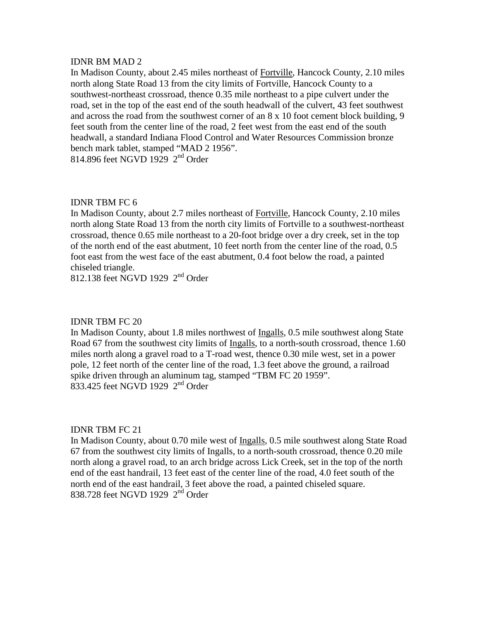In Madison County, about 2.45 miles northeast of Fortville, Hancock County, 2.10 miles north along State Road 13 from the city limits of Fortville, Hancock County to a southwest-northeast crossroad, thence 0.35 mile northeast to a pipe culvert under the road, set in the top of the east end of the south headwall of the culvert, 43 feet southwest and across the road from the southwest corner of an 8 x 10 foot cement block building, 9 feet south from the center line of the road, 2 feet west from the east end of the south headwall, a standard Indiana Flood Control and Water Resources Commission bronze bench mark tablet, stamped "MAD 2 1956". 814.896 feet NGVD 1929 2<sup>nd</sup> Order

# IDNR TBM FC 6

In Madison County, about 2.7 miles northeast of Fortville, Hancock County, 2.10 miles north along State Road 13 from the north city limits of Fortville to a southwest-northeast crossroad, thence 0.65 mile northeast to a 20-foot bridge over a dry creek, set in the top of the north end of the east abutment, 10 feet north from the center line of the road, 0.5 foot east from the west face of the east abutment, 0.4 foot below the road, a painted chiseled triangle.

812.138 feet NGVD 1929  $2<sup>nd</sup>$  Order

# IDNR TBM FC 20

In Madison County, about 1.8 miles northwest of Ingalls, 0.5 mile southwest along State Road 67 from the southwest city limits of Ingalls, to a north-south crossroad, thence 1.60 miles north along a gravel road to a T-road west, thence 0.30 mile west, set in a power pole, 12 feet north of the center line of the road, 1.3 feet above the ground, a railroad spike driven through an aluminum tag, stamped "TBM FC 20 1959". 833.425 feet NGVD 1929 2<sup>nd</sup> Order

## IDNR TBM FC 21

In Madison County, about 0.70 mile west of Ingalls, 0.5 mile southwest along State Road 67 from the southwest city limits of Ingalls, to a north-south crossroad, thence 0.20 mile north along a gravel road, to an arch bridge across Lick Creek, set in the top of the north end of the east handrail, 13 feet east of the center line of the road, 4.0 feet south of the north end of the east handrail, 3 feet above the road, a painted chiseled square. 838.728 feet NGVD 1929 2<sup>nd</sup> Order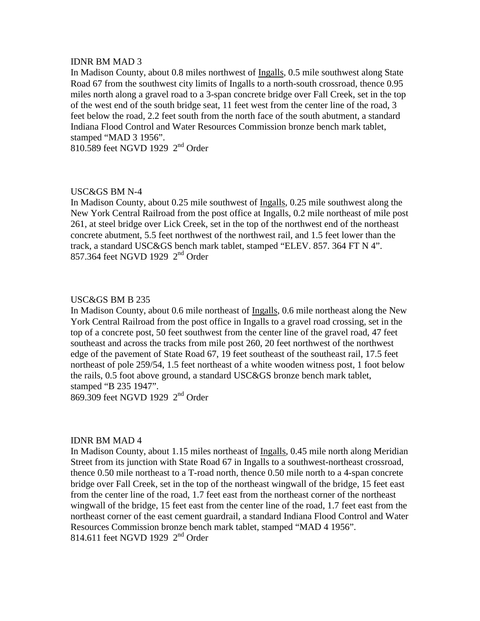In Madison County, about 0.8 miles northwest of Ingalls, 0.5 mile southwest along State Road 67 from the southwest city limits of Ingalls to a north-south crossroad, thence 0.95 miles north along a gravel road to a 3-span concrete bridge over Fall Creek, set in the top of the west end of the south bridge seat, 11 feet west from the center line of the road, 3 feet below the road, 2.2 feet south from the north face of the south abutment, a standard Indiana Flood Control and Water Resources Commission bronze bench mark tablet, stamped "MAD 3 1956".

810.589 feet NGVD 1929 2<sup>nd</sup> Order

# USC&GS BM N-4

In Madison County, about 0.25 mile southwest of Ingalls, 0.25 mile southwest along the New York Central Railroad from the post office at Ingalls, 0.2 mile northeast of mile post 261, at steel bridge over Lick Creek, set in the top of the northwest end of the northeast concrete abutment, 5.5 feet northwest of the northwest rail, and 1.5 feet lower than the track, a standard USC&GS bench mark tablet, stamped "ELEV. 857. 364 FT N 4". 857.364 feet NGVD 1929 2nd Order

## USC&GS BM B 235

In Madison County, about 0.6 mile northeast of Ingalls, 0.6 mile northeast along the New York Central Railroad from the post office in Ingalls to a gravel road crossing, set in the top of a concrete post, 50 feet southwest from the center line of the gravel road, 47 feet southeast and across the tracks from mile post 260, 20 feet northwest of the northwest edge of the pavement of State Road 67, 19 feet southeast of the southeast rail, 17.5 feet northeast of pole 259/54, 1.5 feet northeast of a white wooden witness post, 1 foot below the rails, 0.5 foot above ground, a standard USC&GS bronze bench mark tablet, stamped "B 235 1947". 869.309 feet NGVD 1929 2<sup>nd</sup> Order

# IDNR BM MAD 4

In Madison County, about 1.15 miles northeast of Ingalls, 0.45 mile north along Meridian Street from its junction with State Road 67 in Ingalls to a southwest-northeast crossroad, thence 0.50 mile northeast to a T-road north, thence 0.50 mile north to a 4-span concrete bridge over Fall Creek, set in the top of the northeast wingwall of the bridge, 15 feet east from the center line of the road, 1.7 feet east from the northeast corner of the northeast wingwall of the bridge, 15 feet east from the center line of the road, 1.7 feet east from the northeast corner of the east cement guardrail, a standard Indiana Flood Control and Water Resources Commission bronze bench mark tablet, stamped "MAD 4 1956". 814.611 feet NGVD 1929  $2<sup>nd</sup>$  Order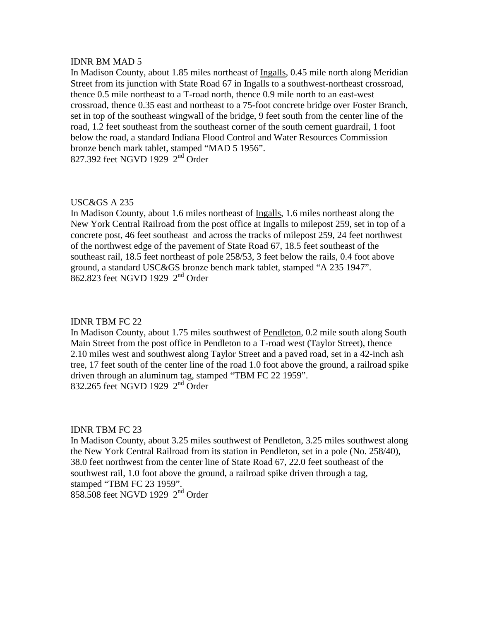In Madison County, about 1.85 miles northeast of Ingalls, 0.45 mile north along Meridian Street from its junction with State Road 67 in Ingalls to a southwest-northeast crossroad, thence 0.5 mile northeast to a T-road north, thence 0.9 mile north to an east-west crossroad, thence 0.35 east and northeast to a 75-foot concrete bridge over Foster Branch, set in top of the southeast wingwall of the bridge, 9 feet south from the center line of the road, 1.2 feet southeast from the southeast corner of the south cement guardrail, 1 foot below the road, a standard Indiana Flood Control and Water Resources Commission bronze bench mark tablet, stamped "MAD 5 1956". 827.392 feet NGVD 1929 2<sup>nd</sup> Order

# USC&GS A 235

In Madison County, about 1.6 miles northeast of Ingalls, 1.6 miles northeast along the New York Central Railroad from the post office at Ingalls to milepost 259, set in top of a concrete post, 46 feet southeast and across the tracks of milepost 259, 24 feet northwest of the northwest edge of the pavement of State Road 67, 18.5 feet southeast of the southeast rail, 18.5 feet northeast of pole 258/53, 3 feet below the rails, 0.4 foot above ground, a standard USC&GS bronze bench mark tablet, stamped "A 235 1947".  $862.823$  feet NGVD 1929  $2<sup>nd</sup>$  Order

# IDNR TBM FC 22

In Madison County, about 1.75 miles southwest of Pendleton, 0.2 mile south along South Main Street from the post office in Pendleton to a T-road west (Taylor Street), thence 2.10 miles west and southwest along Taylor Street and a paved road, set in a 42-inch ash tree, 17 feet south of the center line of the road 1.0 foot above the ground, a railroad spike driven through an aluminum tag, stamped "TBM FC 22 1959". 832.265 feet NGVD 1929 2<sup>nd</sup> Order

## IDNR TBM FC 23

In Madison County, about 3.25 miles southwest of Pendleton, 3.25 miles southwest along the New York Central Railroad from its station in Pendleton, set in a pole (No. 258/40), 38.0 feet northwest from the center line of State Road 67, 22.0 feet southeast of the southwest rail, 1.0 foot above the ground, a railroad spike driven through a tag, stamped "TBM FC 23 1959".  $858.508$  feet NGVD 1929  $2<sup>nd</sup>$  Order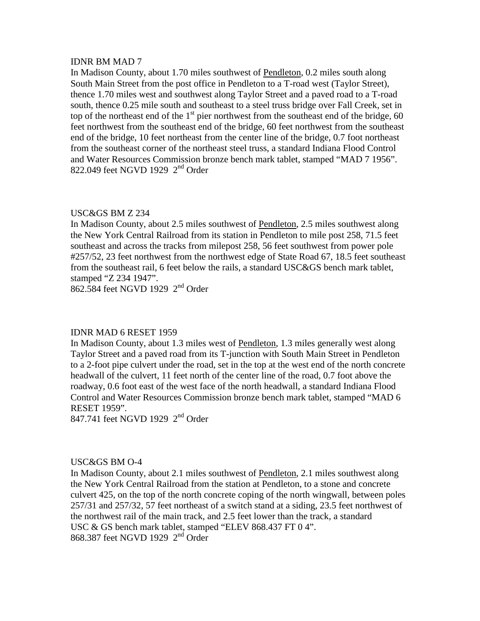In Madison County, about 1.70 miles southwest of Pendleton, 0.2 miles south along South Main Street from the post office in Pendleton to a T-road west (Taylor Street), thence 1.70 miles west and southwest along Taylor Street and a paved road to a T-road south, thence 0.25 mile south and southeast to a steel truss bridge over Fall Creek, set in top of the northeast end of the  $1<sup>st</sup>$  pier northwest from the southeast end of the bridge, 60 feet northwest from the southeast end of the bridge, 60 feet northwest from the southeast end of the bridge, 10 feet northeast from the center line of the bridge, 0.7 foot northeast from the southeast corner of the northeast steel truss, a standard Indiana Flood Control and Water Resources Commission bronze bench mark tablet, stamped "MAD 7 1956". 822.049 feet NGVD 1929  $2<sup>nd</sup>$  Order

# USC&GS BM Z 234

In Madison County, about 2.5 miles southwest of Pendleton, 2.5 miles southwest along the New York Central Railroad from its station in Pendleton to mile post 258, 71.5 feet southeast and across the tracks from milepost 258, 56 feet southwest from power pole #257/52, 23 feet northwest from the northwest edge of State Road 67, 18.5 feet southeast from the southeast rail, 6 feet below the rails, a standard USC&GS bench mark tablet, stamped "Z 234 1947".

862.584 feet NGVD 1929 2nd Order

# IDNR MAD 6 RESET 1959

In Madison County, about 1.3 miles west of Pendleton, 1.3 miles generally west along Taylor Street and a paved road from its T-junction with South Main Street in Pendleton to a 2-foot pipe culvert under the road, set in the top at the west end of the north concrete headwall of the culvert, 11 feet north of the center line of the road, 0.7 foot above the roadway, 0.6 foot east of the west face of the north headwall, a standard Indiana Flood Control and Water Resources Commission bronze bench mark tablet, stamped "MAD 6 RESET 1959".

847.741 feet NGVD 1929 2<sup>nd</sup> Order

# USC&GS BM O-4

In Madison County, about 2.1 miles southwest of Pendleton, 2.1 miles southwest along the New York Central Railroad from the station at Pendleton, to a stone and concrete culvert 425, on the top of the north concrete coping of the north wingwall, between poles 257/31 and 257/32, 57 feet northeast of a switch stand at a siding, 23.5 feet northwest of the northwest rail of the main track, and 2.5 feet lower than the track, a standard USC & GS bench mark tablet, stamped "ELEV 868.437 FT 0 4". 868.387 feet NGVD 1929 2<sup>nd</sup> Order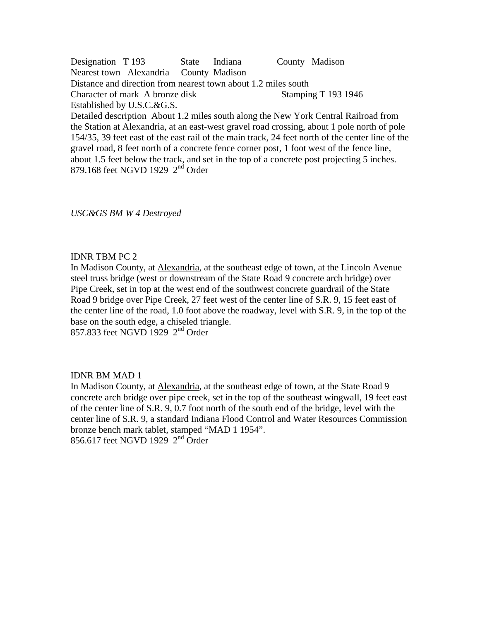Designation T 193 State Indiana County Madison Nearest town Alexandria County Madison Distance and direction from nearest town about 1.2 miles south Character of mark A bronze disk Stamping T 193 1946 Established by U.S.C.&G.S. Detailed description About 1.2 miles south along the New York Central Railroad from the Station at Alexandria, at an east-west gravel road crossing, about 1 pole north of pole

154/35, 39 feet east of the east rail of the main track, 24 feet north of the center line of the gravel road, 8 feet north of a concrete fence corner post, 1 foot west of the fence line, about 1.5 feet below the track, and set in the top of a concrete post projecting 5 inches. 879.168 feet NGVD 1929  $2<sup>nd</sup>$  Order

*USC&GS BM W 4 Destroyed* 

# IDNR TBM PC 2

In Madison County, at Alexandria, at the southeast edge of town, at the Lincoln Avenue steel truss bridge (west or downstream of the State Road 9 concrete arch bridge) over Pipe Creek, set in top at the west end of the southwest concrete guardrail of the State Road 9 bridge over Pipe Creek, 27 feet west of the center line of S.R. 9, 15 feet east of the center line of the road, 1.0 foot above the roadway, level with S.R. 9, in the top of the base on the south edge, a chiseled triangle. 857.833 feet NGVD 1929 2nd Order

# IDNR BM MAD 1

In Madison County, at Alexandria, at the southeast edge of town, at the State Road 9 concrete arch bridge over pipe creek, set in the top of the southeast wingwall, 19 feet east of the center line of S.R. 9, 0.7 foot north of the south end of the bridge, level with the center line of S.R. 9, a standard Indiana Flood Control and Water Resources Commission bronze bench mark tablet, stamped "MAD 1 1954". 856.617 feet NGVD 1929  $2<sup>nd</sup>$  Order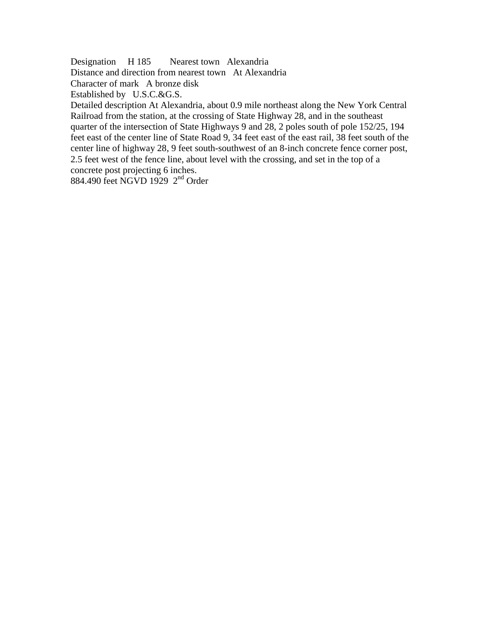Designation H 185 Nearest town Alexandria

Distance and direction from nearest town At Alexandria

Character of mark A bronze disk

Established by U.S.C.&G.S.

Detailed description At Alexandria, about 0.9 mile northeast along the New York Central Railroad from the station, at the crossing of State Highway 28, and in the southeast quarter of the intersection of State Highways 9 and 28, 2 poles south of pole 152/25, 194 feet east of the center line of State Road 9, 34 feet east of the east rail, 38 feet south of the center line of highway 28, 9 feet south-southwest of an 8-inch concrete fence corner post, 2.5 feet west of the fence line, about level with the crossing, and set in the top of a concrete post projecting 6 inches.

884.490 feet NGVD 1929 2nd Order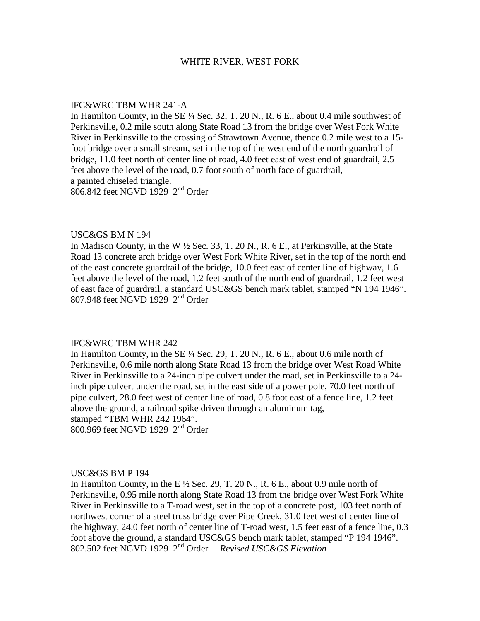#### WHITE RIVER, WEST FORK

#### IFC&WRC TBM WHR 241-A

In Hamilton County, in the SE ¼ Sec. 32, T. 20 N., R. 6 E., about 0.4 mile southwest of Perkinsville, 0.2 mile south along State Road 13 from the bridge over West Fork White River in Perkinsville to the crossing of Strawtown Avenue, thence 0.2 mile west to a 15 foot bridge over a small stream, set in the top of the west end of the north guardrail of bridge, 11.0 feet north of center line of road, 4.0 feet east of west end of guardrail, 2.5 feet above the level of the road, 0.7 foot south of north face of guardrail, a painted chiseled triangle. 806.842 feet NGVD 1929 2nd Order

### USC&GS BM N 194

In Madison County, in the W ½ Sec. 33, T. 20 N., R. 6 E., at Perkinsville, at the State Road 13 concrete arch bridge over West Fork White River, set in the top of the north end of the east concrete guardrail of the bridge, 10.0 feet east of center line of highway, 1.6 feet above the level of the road, 1.2 feet south of the north end of guardrail, 1.2 feet west of east face of guardrail, a standard USC&GS bench mark tablet, stamped "N 194 1946". 807.948 feet NGVD 1929 2nd Order

## IFC&WRC TBM WHR 242

In Hamilton County, in the SE  $\frac{1}{4}$  Sec. 29, T. 20 N., R. 6 E., about 0.6 mile north of Perkinsville, 0.6 mile north along State Road 13 from the bridge over West Road White River in Perkinsville to a 24-inch pipe culvert under the road, set in Perkinsville to a 24 inch pipe culvert under the road, set in the east side of a power pole, 70.0 feet north of pipe culvert, 28.0 feet west of center line of road, 0.8 foot east of a fence line, 1.2 feet above the ground, a railroad spike driven through an aluminum tag, stamped "TBM WHR 242 1964". 800.969 feet NGVD 1929 2<sup>nd</sup> Order

#### USC&GS BM P 194

In Hamilton County, in the E  $\frac{1}{2}$  Sec. 29, T. 20 N., R. 6 E., about 0.9 mile north of Perkinsville, 0.95 mile north along State Road 13 from the bridge over West Fork White River in Perkinsville to a T-road west, set in the top of a concrete post, 103 feet north of northwest corner of a steel truss bridge over Pipe Creek, 31.0 feet west of center line of the highway, 24.0 feet north of center line of T-road west, 1.5 feet east of a fence line, 0.3 foot above the ground, a standard USC&GS bench mark tablet, stamped "P 194 1946". 802.502 feet NGVD 1929 2nd Order *Revised USC&GS Elevation*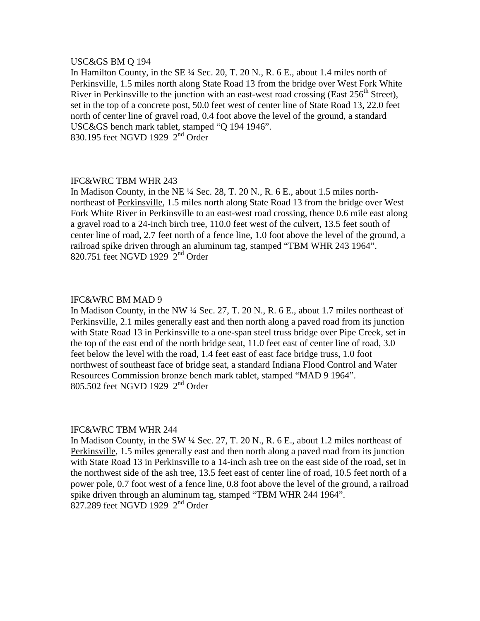## USC&GS BM Q 194

In Hamilton County, in the SE ¼ Sec. 20, T. 20 N., R. 6 E., about 1.4 miles north of Perkinsville, 1.5 miles north along State Road 13 from the bridge over West Fork White River in Perkinsville to the junction with an east-west road crossing (East  $256<sup>th</sup>$  Street), set in the top of a concrete post, 50.0 feet west of center line of State Road 13, 22.0 feet north of center line of gravel road, 0.4 foot above the level of the ground, a standard USC&GS bench mark tablet, stamped "Q 194 1946". 830.195 feet NGVD 1929 2nd Order

## IFC&WRC TBM WHR 243

In Madison County, in the NE ¼ Sec. 28, T. 20 N., R. 6 E., about 1.5 miles northnortheast of Perkinsville, 1.5 miles north along State Road 13 from the bridge over West Fork White River in Perkinsville to an east-west road crossing, thence 0.6 mile east along a gravel road to a 24-inch birch tree, 110.0 feet west of the culvert, 13.5 feet south of center line of road, 2.7 feet north of a fence line, 1.0 foot above the level of the ground, a railroad spike driven through an aluminum tag, stamped "TBM WHR 243 1964". 820.751 feet NGVD 1929 2nd Order

#### IFC&WRC BM MAD 9

In Madison County, in the NW ¼ Sec. 27, T. 20 N., R. 6 E., about 1.7 miles northeast of Perkinsville, 2.1 miles generally east and then north along a paved road from its junction with State Road 13 in Perkinsville to a one-span steel truss bridge over Pipe Creek, set in the top of the east end of the north bridge seat, 11.0 feet east of center line of road, 3.0 feet below the level with the road, 1.4 feet east of east face bridge truss, 1.0 foot northwest of southeast face of bridge seat, a standard Indiana Flood Control and Water Resources Commission bronze bench mark tablet, stamped "MAD 9 1964". 805.502 feet NGVD 1929 2<sup>nd</sup> Order

#### IFC&WRC TBM WHR 244

In Madison County, in the SW ¼ Sec. 27, T. 20 N., R. 6 E., about 1.2 miles northeast of Perkinsville, 1.5 miles generally east and then north along a paved road from its junction with State Road 13 in Perkinsville to a 14-inch ash tree on the east side of the road, set in the northwest side of the ash tree, 13.5 feet east of center line of road, 10.5 feet north of a power pole, 0.7 foot west of a fence line, 0.8 foot above the level of the ground, a railroad spike driven through an aluminum tag, stamped "TBM WHR 244 1964".  $827.289$  feet NGVD 1929  $2<sup>nd</sup>$  Order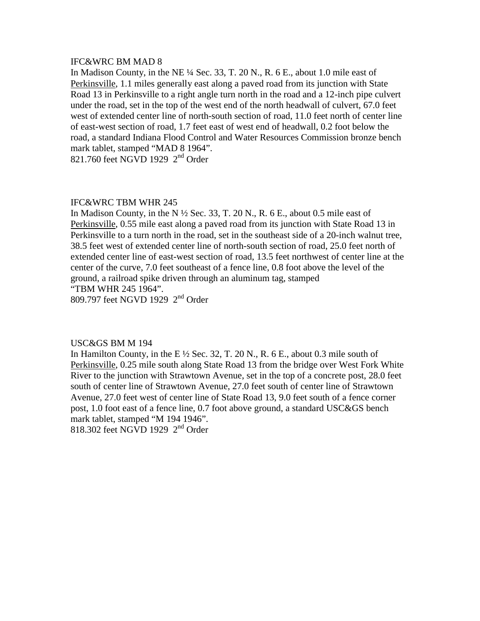### IFC&WRC BM MAD 8

In Madison County, in the NE ¼ Sec. 33, T. 20 N., R. 6 E., about 1.0 mile east of Perkinsville, 1.1 miles generally east along a paved road from its junction with State Road 13 in Perkinsville to a right angle turn north in the road and a 12-inch pipe culvert under the road, set in the top of the west end of the north headwall of culvert, 67.0 feet west of extended center line of north-south section of road, 11.0 feet north of center line of east-west section of road, 1.7 feet east of west end of headwall, 0.2 foot below the road, a standard Indiana Flood Control and Water Resources Commission bronze bench mark tablet, stamped "MAD 8 1964".

821.760 feet NGVD 1929  $2<sup>nd</sup>$  Order

## IFC&WRC TBM WHR 245

In Madison County, in the N  $\frac{1}{2}$  Sec. 33, T. 20 N., R. 6 E., about 0.5 mile east of Perkinsville, 0.55 mile east along a paved road from its junction with State Road 13 in Perkinsville to a turn north in the road, set in the southeast side of a 20-inch walnut tree, 38.5 feet west of extended center line of north-south section of road, 25.0 feet north of extended center line of east-west section of road, 13.5 feet northwest of center line at the center of the curve, 7.0 feet southeast of a fence line, 0.8 foot above the level of the ground, a railroad spike driven through an aluminum tag, stamped "TBM WHR 245 1964".

809.797 feet NGVD 1929 2nd Order

## USC&GS BM M 194

In Hamilton County, in the E  $\frac{1}{2}$  Sec. 32, T. 20 N., R. 6 E., about 0.3 mile south of Perkinsville, 0.25 mile south along State Road 13 from the bridge over West Fork White River to the junction with Strawtown Avenue, set in the top of a concrete post, 28.0 feet south of center line of Strawtown Avenue, 27.0 feet south of center line of Strawtown Avenue, 27.0 feet west of center line of State Road 13, 9.0 feet south of a fence corner post, 1.0 foot east of a fence line, 0.7 foot above ground, a standard USC&GS bench mark tablet, stamped "M 194 1946".

818.302 feet NGVD 1929 2<sup>nd</sup> Order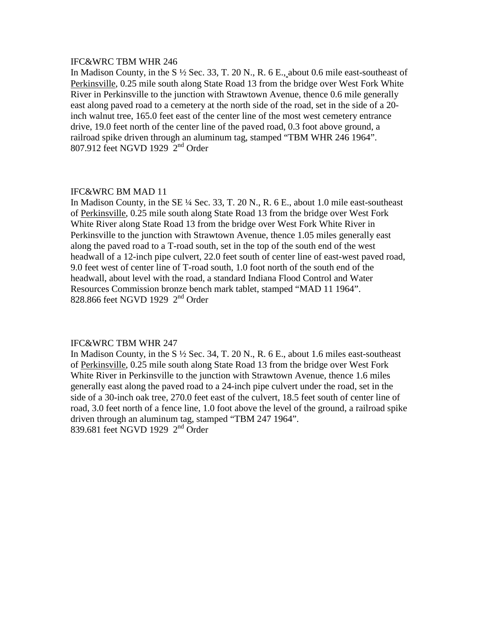# IFC&WRC TBM WHR 246

In Madison County, in the S ½ Sec. 33, T. 20 N., R. 6 E., about 0.6 mile east-southeast of Perkinsville, 0.25 mile south along State Road 13 from the bridge over West Fork White River in Perkinsville to the junction with Strawtown Avenue, thence 0.6 mile generally east along paved road to a cemetery at the north side of the road, set in the side of a 20 inch walnut tree, 165.0 feet east of the center line of the most west cemetery entrance drive, 19.0 feet north of the center line of the paved road, 0.3 foot above ground, a railroad spike driven through an aluminum tag, stamped "TBM WHR 246 1964". 807.912 feet NGVD 1929 2nd Order

## IFC&WRC BM MAD 11

In Madison County, in the SE ¼ Sec. 33, T. 20 N., R. 6 E., about 1.0 mile east-southeast of Perkinsville, 0.25 mile south along State Road 13 from the bridge over West Fork White River along State Road 13 from the bridge over West Fork White River in Perkinsville to the junction with Strawtown Avenue, thence 1.05 miles generally east along the paved road to a T-road south, set in the top of the south end of the west headwall of a 12-inch pipe culvert, 22.0 feet south of center line of east-west paved road, 9.0 feet west of center line of T-road south, 1.0 foot north of the south end of the headwall, about level with the road, a standard Indiana Flood Control and Water Resources Commission bronze bench mark tablet, stamped "MAD 11 1964". 828.866 feet NGVD 1929 2<sup>nd</sup> Order

## IFC&WRC TBM WHR 247

In Madison County, in the S  $\frac{1}{2}$  Sec. 34, T. 20 N., R. 6 E., about 1.6 miles east-southeast of Perkinsville, 0.25 mile south along State Road 13 from the bridge over West Fork White River in Perkinsville to the junction with Strawtown Avenue, thence 1.6 miles generally east along the paved road to a 24-inch pipe culvert under the road, set in the side of a 30-inch oak tree, 270.0 feet east of the culvert, 18.5 feet south of center line of road, 3.0 feet north of a fence line, 1.0 foot above the level of the ground, a railroad spike driven through an aluminum tag, stamped "TBM 247 1964". 839.681 feet NGVD 1929 2nd Order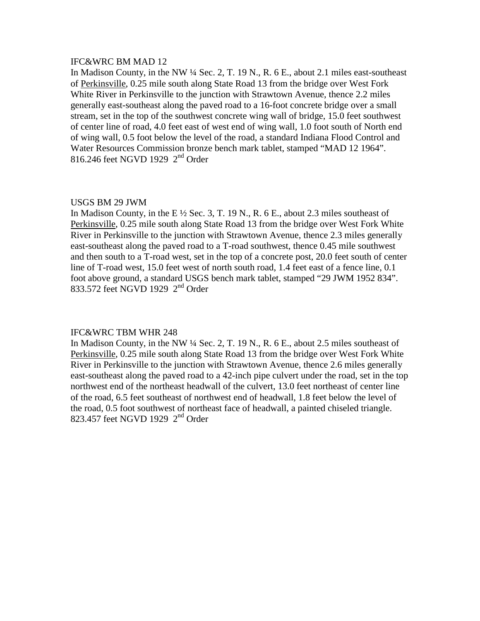## IFC&WRC BM MAD 12

In Madison County, in the NW ¼ Sec. 2, T. 19 N., R. 6 E., about 2.1 miles east-southeast of Perkinsville, 0.25 mile south along State Road 13 from the bridge over West Fork White River in Perkinsville to the junction with Strawtown Avenue, thence 2.2 miles generally east-southeast along the paved road to a 16-foot concrete bridge over a small stream, set in the top of the southwest concrete wing wall of bridge, 15.0 feet southwest of center line of road, 4.0 feet east of west end of wing wall, 1.0 foot south of North end of wing wall, 0.5 foot below the level of the road, a standard Indiana Flood Control and Water Resources Commission bronze bench mark tablet, stamped "MAD 12 1964". 816.246 feet NGVD 1929  $2<sup>nd</sup>$  Order

### USGS BM 29 JWM

In Madison County, in the E  $\frac{1}{2}$  Sec. 3, T. 19 N., R. 6 E., about 2.3 miles southeast of Perkinsville, 0.25 mile south along State Road 13 from the bridge over West Fork White River in Perkinsville to the junction with Strawtown Avenue, thence 2.3 miles generally east-southeast along the paved road to a T-road southwest, thence 0.45 mile southwest and then south to a T-road west, set in the top of a concrete post, 20.0 feet south of center line of T-road west, 15.0 feet west of north south road, 1.4 feet east of a fence line, 0.1 foot above ground, a standard USGS bench mark tablet, stamped "29 JWM 1952 834". 833.572 feet NGVD 1929 2<sup>nd</sup> Order

#### IFC&WRC TBM WHR 248

In Madison County, in the NW ¼ Sec. 2, T. 19 N., R. 6 E., about 2.5 miles southeast of Perkinsville, 0.25 mile south along State Road 13 from the bridge over West Fork White River in Perkinsville to the junction with Strawtown Avenue, thence 2.6 miles generally east-southeast along the paved road to a 42-inch pipe culvert under the road, set in the top northwest end of the northeast headwall of the culvert, 13.0 feet northeast of center line of the road, 6.5 feet southeast of northwest end of headwall, 1.8 feet below the level of the road, 0.5 foot southwest of northeast face of headwall, a painted chiseled triangle. 823.457 feet NGVD 1929 2nd Order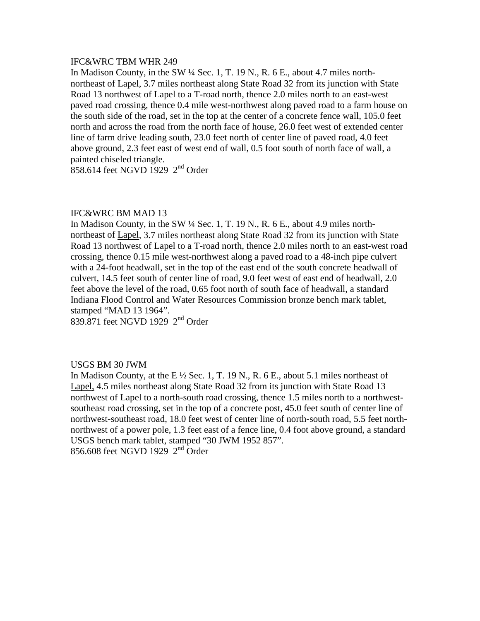## IFC&WRC TBM WHR 249

In Madison County, in the SW ¼ Sec. 1, T. 19 N., R. 6 E., about 4.7 miles northnortheast of Lapel, 3.7 miles northeast along State Road 32 from its junction with State Road 13 northwest of Lapel to a T-road north, thence 2.0 miles north to an east-west paved road crossing, thence 0.4 mile west-northwest along paved road to a farm house on the south side of the road, set in the top at the center of a concrete fence wall, 105.0 feet north and across the road from the north face of house, 26.0 feet west of extended center line of farm drive leading south, 23.0 feet north of center line of paved road, 4.0 feet above ground, 2.3 feet east of west end of wall, 0.5 foot south of north face of wall, a painted chiseled triangle.

 $858.614$  feet NGVD 1929  $2<sup>nd</sup>$  Order

## IFC&WRC BM MAD 13

In Madison County, in the SW ¼ Sec. 1, T. 19 N., R. 6 E., about 4.9 miles northnortheast of Lapel, 3.7 miles northeast along State Road 32 from its junction with State Road 13 northwest of Lapel to a T-road north, thence 2.0 miles north to an east-west road crossing, thence 0.15 mile west-northwest along a paved road to a 48-inch pipe culvert with a 24-foot headwall, set in the top of the east end of the south concrete headwall of culvert, 14.5 feet south of center line of road, 9.0 feet west of east end of headwall, 2.0 feet above the level of the road, 0.65 foot north of south face of headwall, a standard Indiana Flood Control and Water Resources Commission bronze bench mark tablet, stamped "MAD 13 1964".

839.871 feet NGVD 1929 2nd Order

## USGS BM 30 JWM

In Madison County, at the E ½ Sec. 1, T. 19 N., R. 6 E., about 5.1 miles northeast of Lapel, 4.5 miles northeast along State Road 32 from its junction with State Road 13 northwest of Lapel to a north-south road crossing, thence 1.5 miles north to a northwestsoutheast road crossing, set in the top of a concrete post, 45.0 feet south of center line of northwest-southeast road, 18.0 feet west of center line of north-south road, 5.5 feet northnorthwest of a power pole, 1.3 feet east of a fence line, 0.4 foot above ground, a standard USGS bench mark tablet, stamped "30 JWM 1952 857". 856.608 feet NGVD 1929  $2<sup>nd</sup>$  Order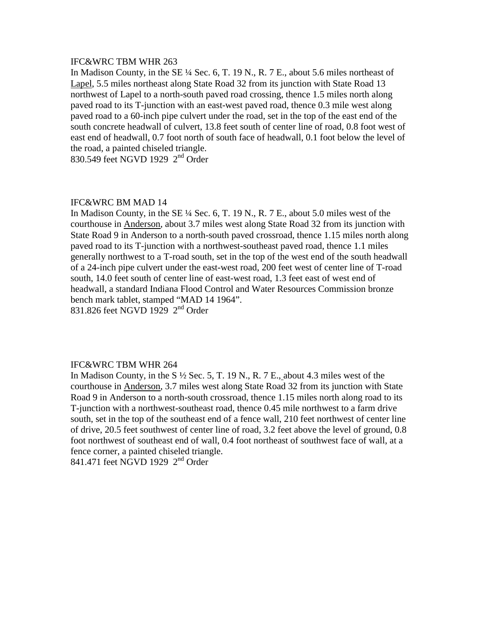# IFC&WRC TBM WHR 263

In Madison County, in the SE ¼ Sec. 6, T. 19 N., R. 7 E., about 5.6 miles northeast of Lapel, 5.5 miles northeast along State Road 32 from its junction with State Road 13 northwest of Lapel to a north-south paved road crossing, thence 1.5 miles north along paved road to its T-junction with an east-west paved road, thence 0.3 mile west along paved road to a 60-inch pipe culvert under the road, set in the top of the east end of the south concrete headwall of culvert, 13.8 feet south of center line of road, 0.8 foot west of east end of headwall, 0.7 foot north of south face of headwall, 0.1 foot below the level of the road, a painted chiseled triangle.

830.549 feet NGVD 1929 2<sup>nd</sup> Order

## IFC&WRC BM MAD 14

In Madison County, in the SE ¼ Sec. 6, T. 19 N., R. 7 E., about 5.0 miles west of the courthouse in Anderson, about 3.7 miles west along State Road 32 from its junction with State Road 9 in Anderson to a north-south paved crossroad, thence 1.15 miles north along paved road to its T-junction with a northwest-southeast paved road, thence 1.1 miles generally northwest to a T-road south, set in the top of the west end of the south headwall of a 24-inch pipe culvert under the east-west road, 200 feet west of center line of T-road south, 14.0 feet south of center line of east-west road, 1.3 feet east of west end of headwall, a standard Indiana Flood Control and Water Resources Commission bronze bench mark tablet, stamped "MAD 14 1964". 831.826 feet NGVD 1929 2nd Order

#### IFC&WRC TBM WHR 264

In Madison County, in the S ½ Sec. 5, T. 19 N., R. 7 E., about 4.3 miles west of the courthouse in Anderson, 3.7 miles west along State Road 32 from its junction with State Road 9 in Anderson to a north-south crossroad, thence 1.15 miles north along road to its T-junction with a northwest-southeast road, thence 0.45 mile northwest to a farm drive south, set in the top of the southeast end of a fence wall, 210 feet northwest of center line of drive, 20.5 feet southwest of center line of road, 3.2 feet above the level of ground, 0.8 foot northwest of southeast end of wall, 0.4 foot northeast of southwest face of wall, at a fence corner, a painted chiseled triangle. 841.471 feet NGVD 1929 2nd Order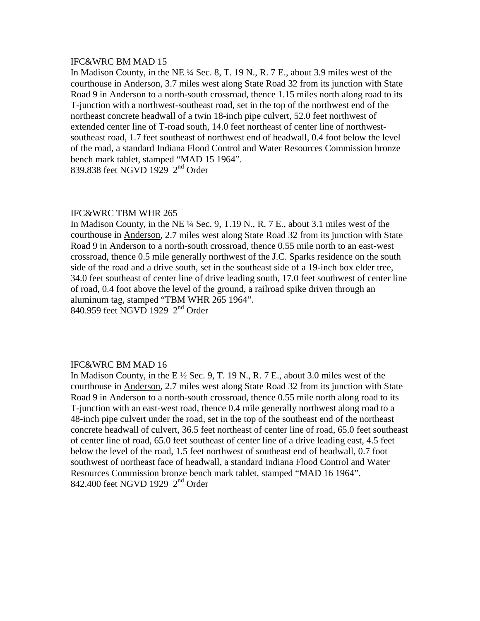### IFC&WRC BM MAD 15

In Madison County, in the NE ¼ Sec. 8, T. 19 N., R. 7 E., about 3.9 miles west of the courthouse in Anderson, 3.7 miles west along State Road 32 from its junction with State Road 9 in Anderson to a north-south crossroad, thence 1.15 miles north along road to its T-junction with a northwest-southeast road, set in the top of the northwest end of the northeast concrete headwall of a twin 18-inch pipe culvert, 52.0 feet northwest of extended center line of T-road south, 14.0 feet northeast of center line of northwestsoutheast road, 1.7 feet southeast of northwest end of headwall, 0.4 foot below the level of the road, a standard Indiana Flood Control and Water Resources Commission bronze bench mark tablet, stamped "MAD 15 1964". 839.838 feet NGVD 1929 2<sup>nd</sup> Order

### IFC&WRC TBM WHR 265

In Madison County, in the NE ¼ Sec. 9, T.19 N., R. 7 E., about 3.1 miles west of the courthouse in Anderson, 2.7 miles west along State Road 32 from its junction with State Road 9 in Anderson to a north-south crossroad, thence 0.55 mile north to an east-west crossroad, thence 0.5 mile generally northwest of the J.C. Sparks residence on the south side of the road and a drive south, set in the southeast side of a 19-inch box elder tree, 34.0 feet southeast of center line of drive leading south, 17.0 feet southwest of center line of road, 0.4 foot above the level of the ground, a railroad spike driven through an aluminum tag, stamped "TBM WHR 265 1964". 840.959 feet NGVD 1929 2nd Order

### IFC&WRC BM MAD 16

In Madison County, in the E  $\frac{1}{2}$  Sec. 9, T. 19 N., R. 7 E., about 3.0 miles west of the courthouse in Anderson, 2.7 miles west along State Road 32 from its junction with State Road 9 in Anderson to a north-south crossroad, thence 0.55 mile north along road to its T-junction with an east-west road, thence 0.4 mile generally northwest along road to a 48-inch pipe culvert under the road, set in the top of the southeast end of the northeast concrete headwall of culvert, 36.5 feet northeast of center line of road, 65.0 feet southeast of center line of road, 65.0 feet southeast of center line of a drive leading east, 4.5 feet below the level of the road, 1.5 feet northwest of southeast end of headwall, 0.7 foot southwest of northeast face of headwall, a standard Indiana Flood Control and Water Resources Commission bronze bench mark tablet, stamped "MAD 16 1964". 842.400 feet NGVD 1929  $2<sup>nd</sup>$  Order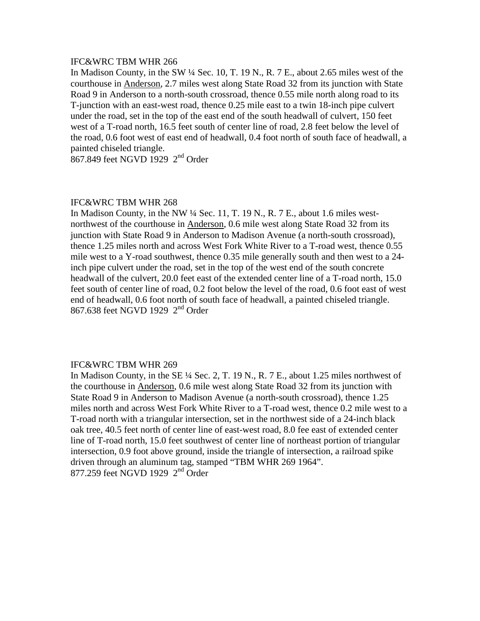## IFC&WRC TBM WHR 266

In Madison County, in the SW ¼ Sec. 10, T. 19 N., R. 7 E., about 2.65 miles west of the courthouse in Anderson, 2.7 miles west along State Road 32 from its junction with State Road 9 in Anderson to a north-south crossroad, thence 0.55 mile north along road to its T-junction with an east-west road, thence 0.25 mile east to a twin 18-inch pipe culvert under the road, set in the top of the east end of the south headwall of culvert, 150 feet west of a T-road north, 16.5 feet south of center line of road, 2.8 feet below the level of the road, 0.6 foot west of east end of headwall, 0.4 foot north of south face of headwall, a painted chiseled triangle.

867.849 feet NGVD 1929 2nd Order

# IFC&WRC TBM WHR 268

In Madison County, in the NW  $\frac{1}{4}$  Sec. 11, T. 19 N., R. 7 E., about 1.6 miles westnorthwest of the courthouse in Anderson, 0.6 mile west along State Road 32 from its junction with State Road 9 in Anderson to Madison Avenue (a north-south crossroad), thence 1.25 miles north and across West Fork White River to a T-road west, thence 0.55 mile west to a Y-road southwest, thence 0.35 mile generally south and then west to a 24 inch pipe culvert under the road, set in the top of the west end of the south concrete headwall of the culvert, 20.0 feet east of the extended center line of a T-road north, 15.0 feet south of center line of road, 0.2 foot below the level of the road, 0.6 foot east of west end of headwall, 0.6 foot north of south face of headwall, a painted chiseled triangle. 867.638 feet NGVD 1929 2nd Order

## IFC&WRC TBM WHR 269

In Madison County, in the SE ¼ Sec. 2, T. 19 N., R. 7 E., about 1.25 miles northwest of the courthouse in Anderson, 0.6 mile west along State Road 32 from its junction with State Road 9 in Anderson to Madison Avenue (a north-south crossroad), thence 1.25 miles north and across West Fork White River to a T-road west, thence 0.2 mile west to a T-road north with a triangular intersection, set in the northwest side of a 24-inch black oak tree, 40.5 feet north of center line of east-west road, 8.0 fee east of extended center line of T-road north, 15.0 feet southwest of center line of northeast portion of triangular intersection, 0.9 foot above ground, inside the triangle of intersection, a railroad spike driven through an aluminum tag, stamped "TBM WHR 269 1964". 877.259 feet NGVD 1929 2<sup>nd</sup> Order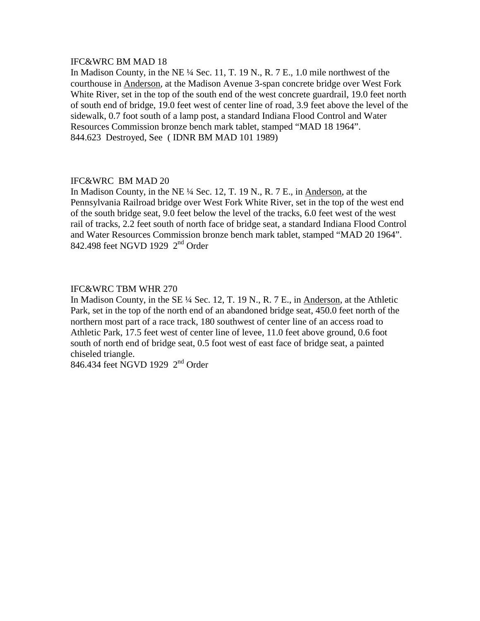## IFC&WRC BM MAD 18

In Madison County, in the NE ¼ Sec. 11, T. 19 N., R. 7 E., 1.0 mile northwest of the courthouse in Anderson, at the Madison Avenue 3-span concrete bridge over West Fork White River, set in the top of the south end of the west concrete guardrail, 19.0 feet north of south end of bridge, 19.0 feet west of center line of road, 3.9 feet above the level of the sidewalk, 0.7 foot south of a lamp post, a standard Indiana Flood Control and Water Resources Commission bronze bench mark tablet, stamped "MAD 18 1964". 844.623 Destroyed, See ( IDNR BM MAD 101 1989)

# IFC&WRC BM MAD 20

In Madison County, in the NE ¼ Sec. 12, T. 19 N., R. 7 E., in Anderson, at the Pennsylvania Railroad bridge over West Fork White River, set in the top of the west end of the south bridge seat, 9.0 feet below the level of the tracks, 6.0 feet west of the west rail of tracks, 2.2 feet south of north face of bridge seat, a standard Indiana Flood Control and Water Resources Commission bronze bench mark tablet, stamped "MAD 20 1964". 842.498 feet NGVD 1929 2<sup>nd</sup> Order

# IFC&WRC TBM WHR 270

In Madison County, in the SE ¼ Sec. 12, T. 19 N., R. 7 E., in Anderson, at the Athletic Park, set in the top of the north end of an abandoned bridge seat, 450.0 feet north of the northern most part of a race track, 180 southwest of center line of an access road to Athletic Park, 17.5 feet west of center line of levee, 11.0 feet above ground, 0.6 foot south of north end of bridge seat, 0.5 foot west of east face of bridge seat, a painted chiseled triangle.

846.434 feet NGVD 1929 2nd Order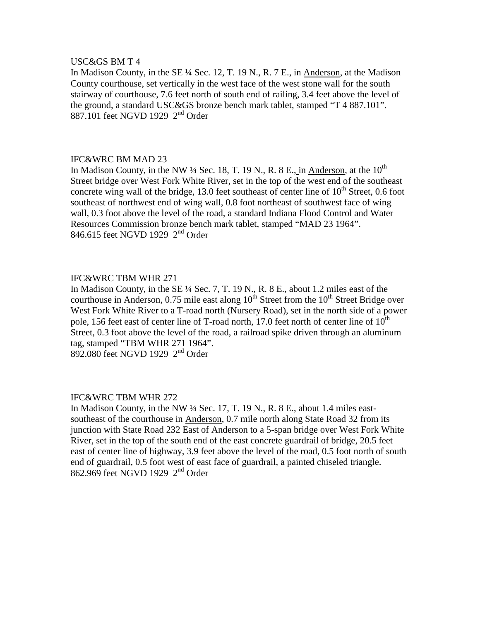### USC&GS BM T 4

In Madison County, in the SE ¼ Sec. 12, T. 19 N., R. 7 E., in Anderson, at the Madison County courthouse, set vertically in the west face of the west stone wall for the south stairway of courthouse, 7.6 feet north of south end of railing, 3.4 feet above the level of the ground, a standard USC&GS bronze bench mark tablet, stamped "T 4 887.101". 887.101 feet NGVD 1929  $2<sup>nd</sup>$  Order

### IFC&WRC BM MAD 23

In Madison County, in the NW  $\frac{1}{4}$  Sec. 18, T. 19 N., R. 8 E., in Anderson, at the 10<sup>th</sup> Street bridge over West Fork White River, set in the top of the west end of the southeast concrete wing wall of the bridge, 13.0 feet southeast of center line of  $10^{th}$  Street, 0.6 foot southeast of northwest end of wing wall, 0.8 foot northeast of southwest face of wing wall, 0.3 foot above the level of the road, a standard Indiana Flood Control and Water Resources Commission bronze bench mark tablet, stamped "MAD 23 1964". 846.615 feet NGVD 1929 2<sup>nd</sup> Order

## IFC&WRC TBM WHR 271

In Madison County, in the SE ¼ Sec. 7, T. 19 N., R. 8 E., about 1.2 miles east of the courthouse in Anderson, 0.75 mile east along  $10^{th}$  Street from the  $10^{th}$  Street Bridge over West Fork White River to a T-road north (Nursery Road), set in the north side of a power pole, 156 feet east of center line of T-road north, 17.0 feet north of center line of  $10^{th}$ Street, 0.3 foot above the level of the road, a railroad spike driven through an aluminum tag, stamped "TBM WHR 271 1964". 892.080 feet NGVD 1929 2nd Order

## IFC&WRC TBM WHR 272

In Madison County, in the NW ¼ Sec. 17, T. 19 N., R. 8 E., about 1.4 miles eastsoutheast of the courthouse in Anderson, 0.7 mile north along State Road 32 from its junction with State Road 232 East of Anderson to a 5-span bridge over West Fork White River, set in the top of the south end of the east concrete guardrail of bridge, 20.5 feet east of center line of highway, 3.9 feet above the level of the road, 0.5 foot north of south end of guardrail, 0.5 foot west of east face of guardrail, a painted chiseled triangle. 862.969 feet NGVD 1929 2nd Order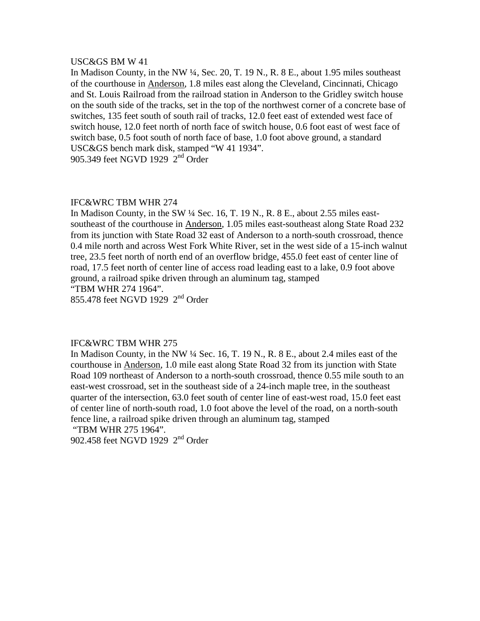### USC&GS BM W 41

In Madison County, in the NW ¼, Sec. 20, T. 19 N., R. 8 E., about 1.95 miles southeast of the courthouse in Anderson, 1.8 miles east along the Cleveland, Cincinnati, Chicago and St. Louis Railroad from the railroad station in Anderson to the Gridley switch house on the south side of the tracks, set in the top of the northwest corner of a concrete base of switches, 135 feet south of south rail of tracks, 12.0 feet east of extended west face of switch house, 12.0 feet north of north face of switch house, 0.6 foot east of west face of switch base, 0.5 foot south of north face of base, 1.0 foot above ground, a standard USC&GS bench mark disk, stamped "W 41 1934". 905.349 feet NGVD 1929 2<sup>nd</sup> Order

## IFC&WRC TBM WHR 274

In Madison County, in the SW ¼ Sec. 16, T. 19 N., R. 8 E., about 2.55 miles eastsoutheast of the courthouse in Anderson, 1.05 miles east-southeast along State Road 232 from its junction with State Road 32 east of Anderson to a north-south crossroad, thence 0.4 mile north and across West Fork White River, set in the west side of a 15-inch walnut tree, 23.5 feet north of north end of an overflow bridge, 455.0 feet east of center line of road, 17.5 feet north of center line of access road leading east to a lake, 0.9 foot above ground, a railroad spike driven through an aluminum tag, stamped "TBM WHR 274 1964".

855.478 feet NGVD 1929 2<sup>nd</sup> Order

## IFC&WRC TBM WHR 275

In Madison County, in the NW  $\frac{1}{4}$  Sec. 16, T. 19 N., R. 8 E., about 2.4 miles east of the courthouse in Anderson, 1.0 mile east along State Road 32 from its junction with State Road 109 northeast of Anderson to a north-south crossroad, thence 0.55 mile south to an east-west crossroad, set in the southeast side of a 24-inch maple tree, in the southeast quarter of the intersection, 63.0 feet south of center line of east-west road, 15.0 feet east of center line of north-south road, 1.0 foot above the level of the road, on a north-south fence line, a railroad spike driven through an aluminum tag, stamped

"TBM WHR 275 1964".

902.458 feet NGVD 1929 2nd Order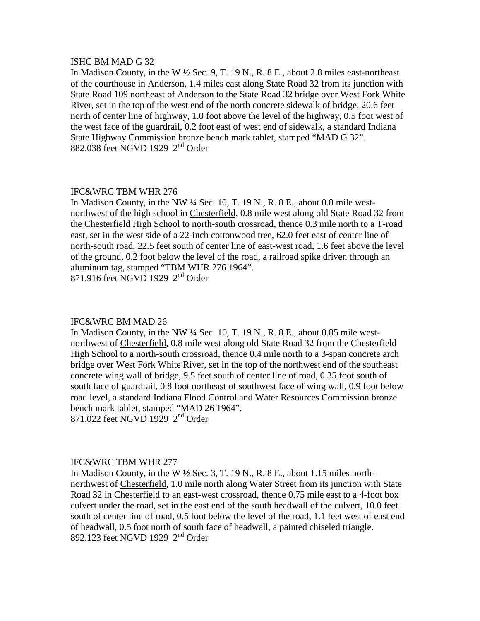### ISHC BM MAD G 32

In Madison County, in the W ½ Sec. 9, T. 19 N., R. 8 E., about 2.8 miles east-northeast of the courthouse in Anderson, 1.4 miles east along State Road 32 from its junction with State Road 109 northeast of Anderson to the State Road 32 bridge over West Fork White River, set in the top of the west end of the north concrete sidewalk of bridge, 20.6 feet north of center line of highway, 1.0 foot above the level of the highway, 0.5 foot west of the west face of the guardrail, 0.2 foot east of west end of sidewalk, a standard Indiana State Highway Commission bronze bench mark tablet, stamped "MAD G 32". 882.038 feet NGVD 1929 2nd Order

## IFC&WRC TBM WHR 276

In Madison County, in the NW ¼ Sec. 10, T. 19 N., R. 8 E., about 0.8 mile westnorthwest of the high school in Chesterfield, 0.8 mile west along old State Road 32 from the Chesterfield High School to north-south crossroad, thence 0.3 mile north to a T-road east, set in the west side of a 22-inch cottonwood tree, 62.0 feet east of center line of north-south road, 22.5 feet south of center line of east-west road, 1.6 feet above the level of the ground, 0.2 foot below the level of the road, a railroad spike driven through an aluminum tag, stamped "TBM WHR 276 1964".

871.916 feet NGVD 1929 2nd Order

#### IFC&WRC BM MAD 26

In Madison County, in the NW ¼ Sec. 10, T. 19 N., R. 8 E., about 0.85 mile westnorthwest of Chesterfield, 0.8 mile west along old State Road 32 from the Chesterfield High School to a north-south crossroad, thence 0.4 mile north to a 3-span concrete arch bridge over West Fork White River, set in the top of the northwest end of the southeast concrete wing wall of bridge, 9.5 feet south of center line of road, 0.35 foot south of south face of guardrail, 0.8 foot northeast of southwest face of wing wall, 0.9 foot below road level, a standard Indiana Flood Control and Water Resources Commission bronze bench mark tablet, stamped "MAD 26 1964". 871.022 feet NGVD 1929 2nd Order

#### IFC&WRC TBM WHR 277

In Madison County, in the W  $\frac{1}{2}$  Sec. 3, T. 19 N., R. 8 E., about 1.15 miles northnorthwest of Chesterfield, 1.0 mile north along Water Street from its junction with State Road 32 in Chesterfield to an east-west crossroad, thence 0.75 mile east to a 4-foot box culvert under the road, set in the east end of the south headwall of the culvert, 10.0 feet south of center line of road, 0.5 foot below the level of the road, 1.1 feet west of east end of headwall, 0.5 foot north of south face of headwall, a painted chiseled triangle. 892.123 feet NGVD 1929  $2<sup>nd</sup>$  Order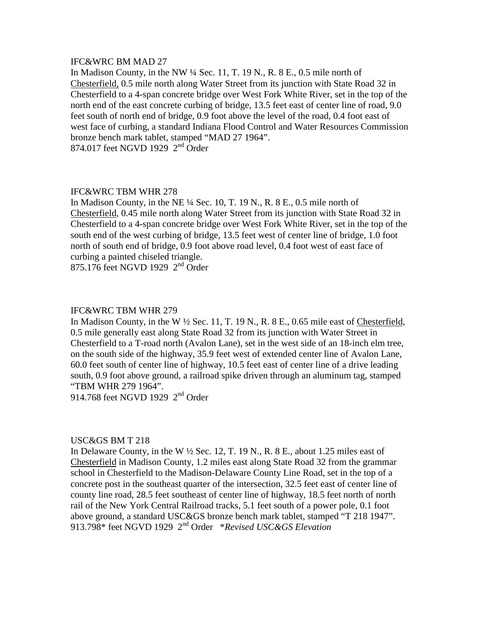## IFC&WRC BM MAD 27

In Madison County, in the NW ¼ Sec. 11, T. 19 N., R. 8 E., 0.5 mile north of Chesterfield, 0.5 mile north along Water Street from its junction with State Road 32 in Chesterfield to a 4-span concrete bridge over West Fork White River, set in the top of the north end of the east concrete curbing of bridge, 13.5 feet east of center line of road, 9.0 feet south of north end of bridge, 0.9 foot above the level of the road, 0.4 foot east of west face of curbing, a standard Indiana Flood Control and Water Resources Commission bronze bench mark tablet, stamped "MAD 27 1964". 874.017 feet NGVD 1929 2<sup>nd</sup> Order

### IFC&WRC TBM WHR 278

In Madison County, in the NE ¼ Sec. 10, T. 19 N., R. 8 E., 0.5 mile north of Chesterfield, 0.45 mile north along Water Street from its junction with State Road 32 in Chesterfield to a 4-span concrete bridge over West Fork White River, set in the top of the south end of the west curbing of bridge, 13.5 feet west of center line of bridge, 1.0 foot north of south end of bridge, 0.9 foot above road level, 0.4 foot west of east face of curbing a painted chiseled triangle.

875.176 feet NGVD 1929 2<sup>nd</sup> Order

#### IFC&WRC TBM WHR 279

In Madison County, in the W  $\frac{1}{2}$  Sec. 11, T. 19 N., R. 8 E., 0.65 mile east of Chesterfield, 0.5 mile generally east along State Road 32 from its junction with Water Street in Chesterfield to a T-road north (Avalon Lane), set in the west side of an 18-inch elm tree, on the south side of the highway, 35.9 feet west of extended center line of Avalon Lane, 60.0 feet south of center line of highway, 10.5 feet east of center line of a drive leading south, 0.9 foot above ground, a railroad spike driven through an aluminum tag, stamped "TBM WHR 279 1964".

914.768 feet NGVD 1929  $2<sup>nd</sup>$  Order

### USC&GS BM T 218

In Delaware County, in the W  $\frac{1}{2}$  Sec. 12, T. 19 N., R. 8 E., about 1.25 miles east of Chesterfield in Madison County, 1.2 miles east along State Road 32 from the grammar school in Chesterfield to the Madison-Delaware County Line Road, set in the top of a concrete post in the southeast quarter of the intersection, 32.5 feet east of center line of county line road, 28.5 feet southeast of center line of highway, 18.5 feet north of north rail of the New York Central Railroad tracks, 5.1 feet south of a power pole, 0.1 foot above ground, a standard USC&GS bronze bench mark tablet, stamped "T 218 1947". 913.798\* feet NGVD 1929 2nd Order \**Revised USC&GS Elevation*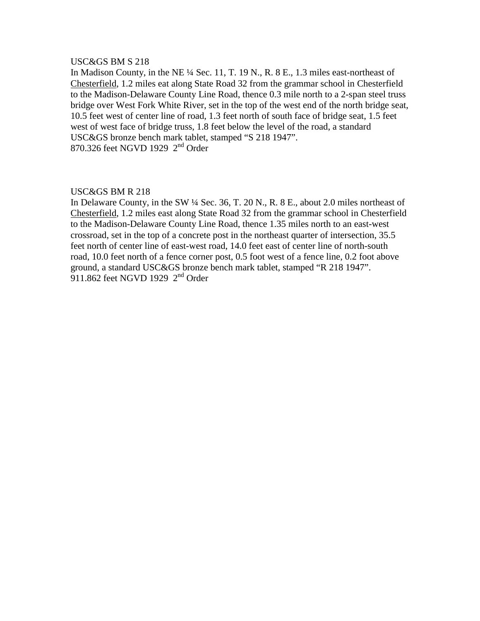# USC&GS BM S 218

In Madison County, in the NE ¼ Sec. 11, T. 19 N., R. 8 E., 1.3 miles east-northeast of Chesterfield, 1.2 miles eat along State Road 32 from the grammar school in Chesterfield to the Madison-Delaware County Line Road, thence 0.3 mile north to a 2-span steel truss bridge over West Fork White River, set in the top of the west end of the north bridge seat, 10.5 feet west of center line of road, 1.3 feet north of south face of bridge seat, 1.5 feet west of west face of bridge truss, 1.8 feet below the level of the road, a standard USC&GS bronze bench mark tablet, stamped "S 218 1947". 870.326 feet NGVD 1929 2nd Order

## USC&GS BM R 218

In Delaware County, in the SW ¼ Sec. 36, T. 20 N., R. 8 E., about 2.0 miles northeast of Chesterfield, 1.2 miles east along State Road 32 from the grammar school in Chesterfield to the Madison-Delaware County Line Road, thence 1.35 miles north to an east-west crossroad, set in the top of a concrete post in the northeast quarter of intersection, 35.5 feet north of center line of east-west road, 14.0 feet east of center line of north-south road, 10.0 feet north of a fence corner post, 0.5 foot west of a fence line, 0.2 foot above ground, a standard USC&GS bronze bench mark tablet, stamped "R 218 1947".  $911.862$  feet NGVD 1929  $2<sup>nd</sup>$  Order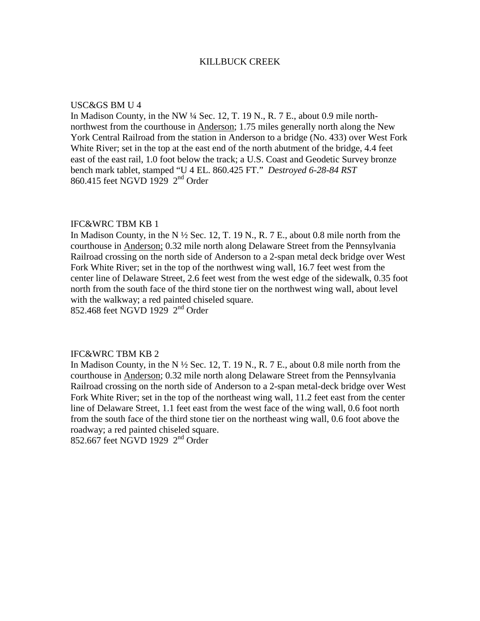### KILLBUCK CREEK

### USC&GS BM U 4

In Madison County, in the NW ¼ Sec. 12, T. 19 N., R. 7 E., about 0.9 mile northnorthwest from the courthouse in Anderson; 1.75 miles generally north along the New York Central Railroad from the station in Anderson to a bridge (No. 433) over West Fork White River; set in the top at the east end of the north abutment of the bridge, 4.4 feet east of the east rail, 1.0 foot below the track; a U.S. Coast and Geodetic Survey bronze bench mark tablet, stamped "U 4 EL. 860.425 FT." *Destroyed 6-28-84 RST* 860.415 feet NGVD 1929 2nd Order

### IFC&WRC TBM KB 1

In Madison County, in the N  $\frac{1}{2}$  Sec. 12, T. 19 N., R. 7 E., about 0.8 mile north from the courthouse in Anderson; 0.32 mile north along Delaware Street from the Pennsylvania Railroad crossing on the north side of Anderson to a 2-span metal deck bridge over West Fork White River; set in the top of the northwest wing wall, 16.7 feet west from the center line of Delaware Street, 2.6 feet west from the west edge of the sidewalk, 0.35 foot north from the south face of the third stone tier on the northwest wing wall, about level with the walkway; a red painted chiseled square. 852.468 feet NGVD 1929 2nd Order

# IFC&WRC TBM KB 2

In Madison County, in the N  $\frac{1}{2}$  Sec. 12, T. 19 N., R. 7 E., about 0.8 mile north from the courthouse in Anderson; 0.32 mile north along Delaware Street from the Pennsylvania Railroad crossing on the north side of Anderson to a 2-span metal-deck bridge over West Fork White River; set in the top of the northeast wing wall, 11.2 feet east from the center line of Delaware Street, 1.1 feet east from the west face of the wing wall, 0.6 foot north from the south face of the third stone tier on the northeast wing wall, 0.6 foot above the roadway; a red painted chiseled square.

852.667 feet NGVD 1929 2nd Order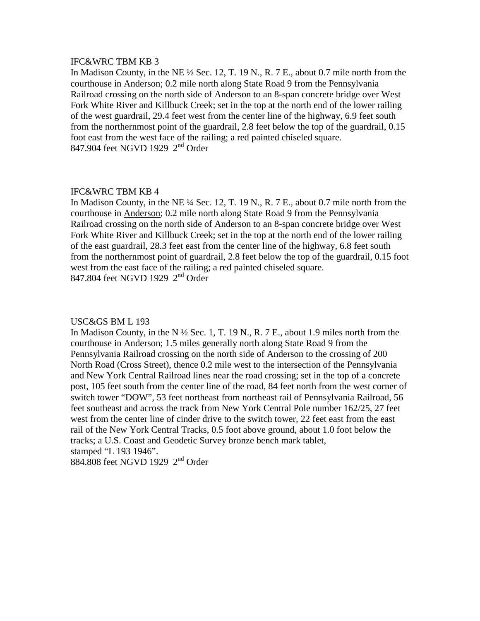In Madison County, in the NE ½ Sec. 12, T. 19 N., R. 7 E., about 0.7 mile north from the courthouse in Anderson; 0.2 mile north along State Road 9 from the Pennsylvania Railroad crossing on the north side of Anderson to an 8-span concrete bridge over West Fork White River and Killbuck Creek; set in the top at the north end of the lower railing of the west guardrail, 29.4 feet west from the center line of the highway, 6.9 feet south from the northernmost point of the guardrail, 2.8 feet below the top of the guardrail, 0.15 foot east from the west face of the railing; a red painted chiseled square. 847.904 feet NGVD 1929 2nd Order

## IFC&WRC TBM KB 4

In Madison County, in the NE ¼ Sec. 12, T. 19 N., R. 7 E., about 0.7 mile north from the courthouse in Anderson; 0.2 mile north along State Road 9 from the Pennsylvania Railroad crossing on the north side of Anderson to an 8-span concrete bridge over West Fork White River and Killbuck Creek; set in the top at the north end of the lower railing of the east guardrail, 28.3 feet east from the center line of the highway, 6.8 feet south from the northernmost point of guardrail, 2.8 feet below the top of the guardrail, 0.15 foot west from the east face of the railing; a red painted chiseled square. 847.804 feet NGVD 1929 2nd Order

## USC&GS BM L 193

In Madison County, in the N  $\frac{1}{2}$  Sec. 1, T. 19 N., R. 7 E., about 1.9 miles north from the courthouse in Anderson; 1.5 miles generally north along State Road 9 from the Pennsylvania Railroad crossing on the north side of Anderson to the crossing of 200 North Road (Cross Street), thence 0.2 mile west to the intersection of the Pennsylvania and New York Central Railroad lines near the road crossing; set in the top of a concrete post, 105 feet south from the center line of the road, 84 feet north from the west corner of switch tower "DOW", 53 feet northeast from northeast rail of Pennsylvania Railroad, 56 feet southeast and across the track from New York Central Pole number 162/25, 27 feet west from the center line of cinder drive to the switch tower, 22 feet east from the east rail of the New York Central Tracks, 0.5 foot above ground, about 1.0 foot below the tracks; a U.S. Coast and Geodetic Survey bronze bench mark tablet, stamped "L 193 1946".

884.808 feet NGVD 1929 2nd Order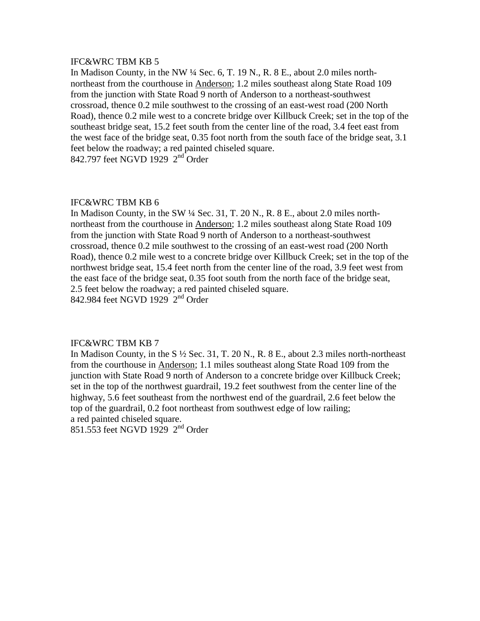In Madison County, in the NW ¼ Sec. 6, T. 19 N., R. 8 E., about 2.0 miles northnortheast from the courthouse in Anderson; 1.2 miles southeast along State Road 109 from the junction with State Road 9 north of Anderson to a northeast-southwest crossroad, thence 0.2 mile southwest to the crossing of an east-west road (200 North Road), thence 0.2 mile west to a concrete bridge over Killbuck Creek; set in the top of the southeast bridge seat, 15.2 feet south from the center line of the road, 3.4 feet east from the west face of the bridge seat, 0.35 foot north from the south face of the bridge seat, 3.1 feet below the roadway; a red painted chiseled square. 842.797 feet NGVD 1929 2<sup>nd</sup> Order

## IFC&WRC TBM KB 6

In Madison County, in the SW ¼ Sec. 31, T. 20 N., R. 8 E., about 2.0 miles northnortheast from the courthouse in Anderson; 1.2 miles southeast along State Road 109 from the junction with State Road 9 north of Anderson to a northeast-southwest crossroad, thence 0.2 mile southwest to the crossing of an east-west road (200 North Road), thence 0.2 mile west to a concrete bridge over Killbuck Creek; set in the top of the northwest bridge seat, 15.4 feet north from the center line of the road, 3.9 feet west from the east face of the bridge seat, 0.35 foot south from the north face of the bridge seat, 2.5 feet below the roadway; a red painted chiseled square. 842.984 feet NGVD 1929 2nd Order

## IFC&WRC TBM KB 7

In Madison County, in the  $S\frac{1}{2}$  Sec. 31, T. 20 N., R. 8 E., about 2.3 miles north-northeast from the courthouse in Anderson; 1.1 miles southeast along State Road 109 from the junction with State Road 9 north of Anderson to a concrete bridge over Killbuck Creek; set in the top of the northwest guardrail, 19.2 feet southwest from the center line of the highway, 5.6 feet southeast from the northwest end of the guardrail, 2.6 feet below the top of the guardrail, 0.2 foot northeast from southwest edge of low railing; a red painted chiseled square.

851.553 feet NGVD 1929 2<sup>nd</sup> Order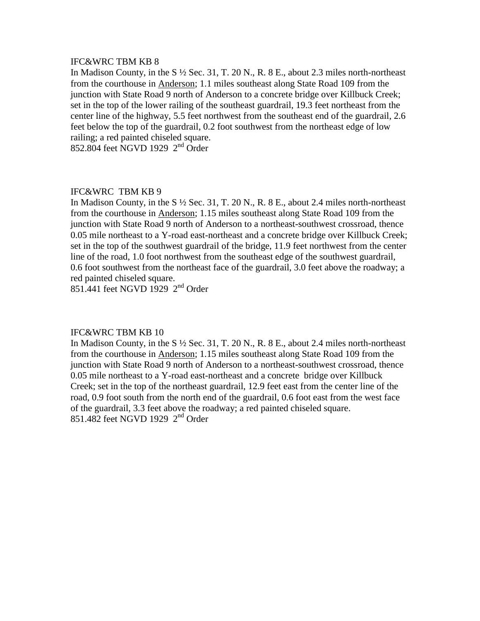In Madison County, in the S ½ Sec. 31, T. 20 N., R. 8 E., about 2.3 miles north-northeast from the courthouse in Anderson; 1.1 miles southeast along State Road 109 from the junction with State Road 9 north of Anderson to a concrete bridge over Killbuck Creek; set in the top of the lower railing of the southeast guardrail, 19.3 feet northeast from the center line of the highway, 5.5 feet northwest from the southeast end of the guardrail, 2.6 feet below the top of the guardrail, 0.2 foot southwest from the northeast edge of low railing; a red painted chiseled square.

852.804 feet NGVD 1929 2nd Order

## IFC&WRC TBM KB 9

In Madison County, in the S ½ Sec. 31, T. 20 N., R. 8 E., about 2.4 miles north-northeast from the courthouse in Anderson; 1.15 miles southeast along State Road 109 from the junction with State Road 9 north of Anderson to a northeast-southwest crossroad, thence 0.05 mile northeast to a Y-road east-northeast and a concrete bridge over Killbuck Creek; set in the top of the southwest guardrail of the bridge, 11.9 feet northwest from the center line of the road, 1.0 foot northwest from the southeast edge of the southwest guardrail, 0.6 foot southwest from the northeast face of the guardrail, 3.0 feet above the roadway; a red painted chiseled square.

851.441 feet NGVD 1929 2nd Order

### IFC&WRC TBM KB 10

In Madison County, in the S ½ Sec. 31, T. 20 N., R. 8 E., about 2.4 miles north-northeast from the courthouse in Anderson; 1.15 miles southeast along State Road 109 from the junction with State Road 9 north of Anderson to a northeast-southwest crossroad, thence 0.05 mile northeast to a Y-road east-northeast and a concrete bridge over Killbuck Creek; set in the top of the northeast guardrail, 12.9 feet east from the center line of the road, 0.9 foot south from the north end of the guardrail, 0.6 foot east from the west face of the guardrail, 3.3 feet above the roadway; a red painted chiseled square. 851.482 feet NGVD 1929 2nd Order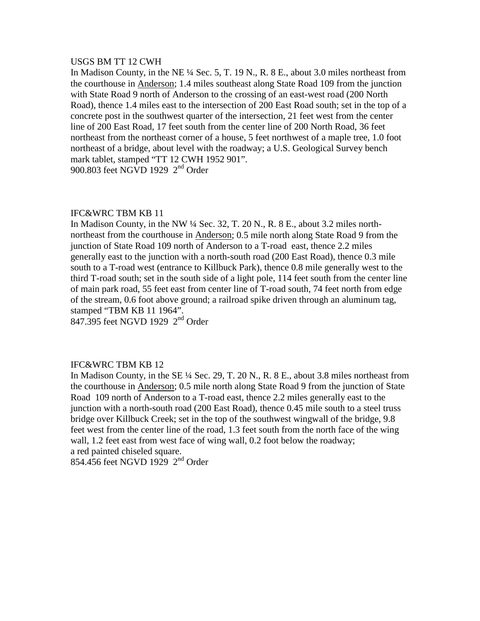### USGS BM TT 12 CWH

In Madison County, in the NE ¼ Sec. 5, T. 19 N., R. 8 E., about 3.0 miles northeast from the courthouse in Anderson; 1.4 miles southeast along State Road 109 from the junction with State Road 9 north of Anderson to the crossing of an east-west road (200 North Road), thence 1.4 miles east to the intersection of 200 East Road south; set in the top of a concrete post in the southwest quarter of the intersection, 21 feet west from the center line of 200 East Road, 17 feet south from the center line of 200 North Road, 36 feet northeast from the northeast corner of a house, 5 feet northwest of a maple tree, 1.0 foot northeast of a bridge, about level with the roadway; a U.S. Geological Survey bench mark tablet, stamped "TT 12 CWH 1952 901". 900.803 feet NGVD 1929 2<sup>nd</sup> Order

## IFC&WRC TBM KB 11

In Madison County, in the NW ¼ Sec. 32, T. 20 N., R. 8 E., about 3.2 miles northnortheast from the courthouse in Anderson; 0.5 mile north along State Road 9 from the junction of State Road 109 north of Anderson to a T-road east, thence 2.2 miles generally east to the junction with a north-south road (200 East Road), thence 0.3 mile south to a T-road west (entrance to Killbuck Park), thence 0.8 mile generally west to the third T-road south; set in the south side of a light pole, 114 feet south from the center line of main park road, 55 feet east from center line of T-road south, 74 feet north from edge of the stream, 0.6 foot above ground; a railroad spike driven through an aluminum tag, stamped "TBM KB 11 1964".

847.395 feet NGVD 1929 2<sup>nd</sup> Order

## IFC&WRC TBM KB 12

In Madison County, in the SE ¼ Sec. 29, T. 20 N., R. 8 E., about 3.8 miles northeast from the courthouse in Anderson; 0.5 mile north along State Road 9 from the junction of State Road 109 north of Anderson to a T-road east, thence 2.2 miles generally east to the junction with a north-south road (200 East Road), thence 0.45 mile south to a steel truss bridge over Killbuck Creek; set in the top of the southwest wingwall of the bridge, 9.8 feet west from the center line of the road, 1.3 feet south from the north face of the wing wall, 1.2 feet east from west face of wing wall, 0.2 foot below the roadway; a red painted chiseled square.

854.456 feet NGVD 1929 2nd Order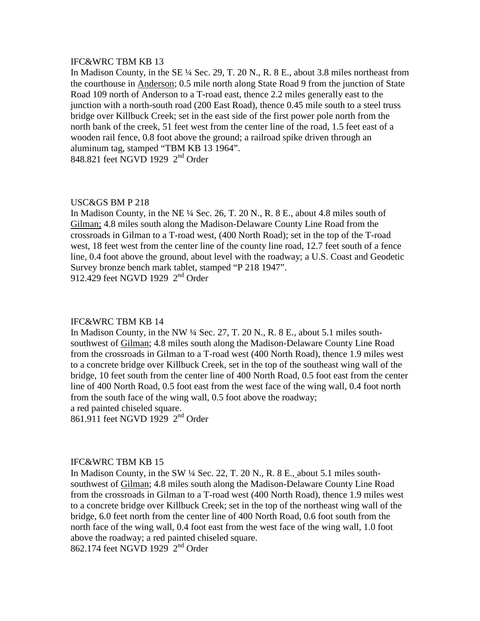In Madison County, in the SE ¼ Sec. 29, T. 20 N., R. 8 E., about 3.8 miles northeast from the courthouse in Anderson; 0.5 mile north along State Road 9 from the junction of State Road 109 north of Anderson to a T-road east, thence 2.2 miles generally east to the junction with a north-south road (200 East Road), thence 0.45 mile south to a steel truss bridge over Killbuck Creek; set in the east side of the first power pole north from the north bank of the creek, 51 feet west from the center line of the road, 1.5 feet east of a wooden rail fence, 0.8 foot above the ground; a railroad spike driven through an aluminum tag, stamped "TBM KB 13 1964". 848.821 feet NGVD 1929 2<sup>nd</sup> Order

### USC&GS BM P 218

In Madison County, in the NE  $\frac{1}{4}$  Sec. 26, T. 20 N., R. 8 E., about 4.8 miles south of Gilman; 4.8 miles south along the Madison-Delaware County Line Road from the crossroads in Gilman to a T-road west, (400 North Road); set in the top of the T-road west, 18 feet west from the center line of the county line road, 12.7 feet south of a fence line, 0.4 foot above the ground, about level with the roadway; a U.S. Coast and Geodetic Survey bronze bench mark tablet, stamped "P 218 1947". 912.429 feet NGVD 1929  $2<sup>nd</sup>$  Order

#### IFC&WRC TBM KB 14

In Madison County, in the NW  $\frac{1}{4}$  Sec. 27, T. 20 N., R. 8 E., about 5.1 miles southsouthwest of Gilman; 4.8 miles south along the Madison-Delaware County Line Road from the crossroads in Gilman to a T-road west (400 North Road), thence 1.9 miles west to a concrete bridge over Killbuck Creek, set in the top of the southeast wing wall of the bridge, 10 feet south from the center line of 400 North Road, 0.5 foot east from the center line of 400 North Road, 0.5 foot east from the west face of the wing wall, 0.4 foot north from the south face of the wing wall, 0.5 foot above the roadway; a red painted chiseled square.

861.911 feet NGVD 1929 2nd Order

## IFC&WRC TBM KB 15

In Madison County, in the SW  $\frac{1}{4}$  Sec. 22, T. 20 N., R. 8 E., about 5.1 miles southsouthwest of Gilman; 4.8 miles south along the Madison-Delaware County Line Road from the crossroads in Gilman to a T-road west (400 North Road), thence 1.9 miles west to a concrete bridge over Killbuck Creek; set in the top of the northeast wing wall of the bridge, 6.0 feet north from the center line of 400 North Road, 0.6 foot south from the north face of the wing wall, 0.4 foot east from the west face of the wing wall, 1.0 foot above the roadway; a red painted chiseled square.

862.174 feet NGVD 1929 2nd Order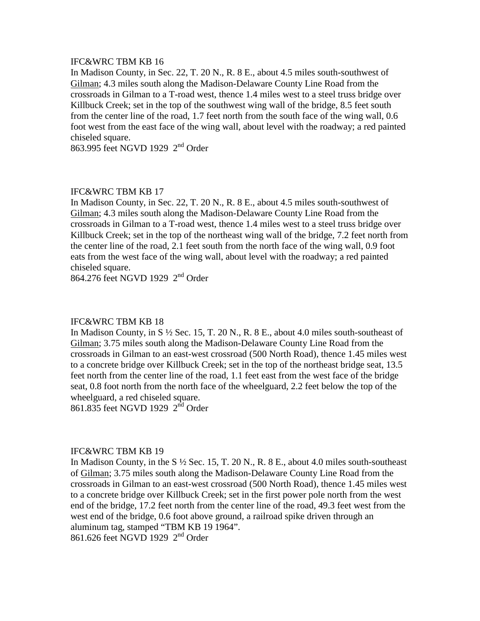In Madison County, in Sec. 22, T. 20 N., R. 8 E., about 4.5 miles south-southwest of Gilman; 4.3 miles south along the Madison-Delaware County Line Road from the crossroads in Gilman to a T-road west, thence 1.4 miles west to a steel truss bridge over Killbuck Creek; set in the top of the southwest wing wall of the bridge, 8.5 feet south from the center line of the road, 1.7 feet north from the south face of the wing wall, 0.6 foot west from the east face of the wing wall, about level with the roadway; a red painted chiseled square.

863.995 feet NGVD 1929 2nd Order

## IFC&WRC TBM KB 17

In Madison County, in Sec. 22, T. 20 N., R. 8 E., about 4.5 miles south-southwest of Gilman; 4.3 miles south along the Madison-Delaware County Line Road from the crossroads in Gilman to a T-road west, thence 1.4 miles west to a steel truss bridge over Killbuck Creek; set in the top of the northeast wing wall of the bridge, 7.2 feet north from the center line of the road, 2.1 feet south from the north face of the wing wall, 0.9 foot eats from the west face of the wing wall, about level with the roadway; a red painted chiseled square.

864.276 feet NGVD 1929 2nd Order

## IFC&WRC TBM KB 18

In Madison County, in S ½ Sec. 15, T. 20 N., R. 8 E., about 4.0 miles south-southeast of Gilman; 3.75 miles south along the Madison-Delaware County Line Road from the crossroads in Gilman to an east-west crossroad (500 North Road), thence 1.45 miles west to a concrete bridge over Killbuck Creek; set in the top of the northeast bridge seat, 13.5 feet north from the center line of the road, 1.1 feet east from the west face of the bridge seat, 0.8 foot north from the north face of the wheelguard, 2.2 feet below the top of the wheelguard, a red chiseled square.

861.835 feet NGVD 1929 2nd Order

#### IFC&WRC TBM KB 19

In Madison County, in the  $S\frac{1}{2}$  Sec. 15, T. 20 N., R. 8 E., about 4.0 miles south-southeast of Gilman; 3.75 miles south along the Madison-Delaware County Line Road from the crossroads in Gilman to an east-west crossroad (500 North Road), thence 1.45 miles west to a concrete bridge over Killbuck Creek; set in the first power pole north from the west end of the bridge, 17.2 feet north from the center line of the road, 49.3 feet west from the west end of the bridge, 0.6 foot above ground, a railroad spike driven through an aluminum tag, stamped "TBM KB 19 1964".

861.626 feet NGVD 1929 2<sup>nd</sup> Order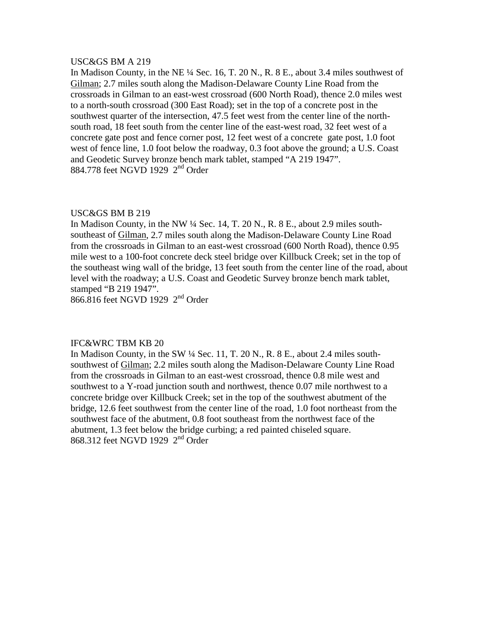## USC&GS BM A 219

In Madison County, in the NE ¼ Sec. 16, T. 20 N., R. 8 E., about 3.4 miles southwest of Gilman; 2.7 miles south along the Madison-Delaware County Line Road from the crossroads in Gilman to an east-west crossroad (600 North Road), thence 2.0 miles west to a north-south crossroad (300 East Road); set in the top of a concrete post in the southwest quarter of the intersection, 47.5 feet west from the center line of the northsouth road, 18 feet south from the center line of the east-west road, 32 feet west of a concrete gate post and fence corner post, 12 feet west of a concrete gate post, 1.0 foot west of fence line, 1.0 foot below the roadway, 0.3 foot above the ground; a U.S. Coast and Geodetic Survey bronze bench mark tablet, stamped "A 219 1947". 884.778 feet NGVD 1929 2nd Order

## USC&GS BM B 219

In Madison County, in the NW ¼ Sec. 14, T. 20 N., R. 8 E., about 2.9 miles southsoutheast of Gilman, 2.7 miles south along the Madison-Delaware County Line Road from the crossroads in Gilman to an east-west crossroad (600 North Road), thence 0.95 mile west to a 100-foot concrete deck steel bridge over Killbuck Creek; set in the top of the southeast wing wall of the bridge, 13 feet south from the center line of the road, about level with the roadway; a U.S. Coast and Geodetic Survey bronze bench mark tablet, stamped "B 219 1947".

866.816 feet NGVD 1929 2nd Order

## IFC&WRC TBM KB 20

In Madison County, in the SW  $\frac{1}{4}$  Sec. 11, T. 20 N., R. 8 E., about 2.4 miles southsouthwest of Gilman; 2.2 miles south along the Madison-Delaware County Line Road from the crossroads in Gilman to an east-west crossroad, thence 0.8 mile west and southwest to a Y-road junction south and northwest, thence 0.07 mile northwest to a concrete bridge over Killbuck Creek; set in the top of the southwest abutment of the bridge, 12.6 feet southwest from the center line of the road, 1.0 foot northeast from the southwest face of the abutment, 0.8 foot southeast from the northwest face of the abutment, 1.3 feet below the bridge curbing; a red painted chiseled square. 868.312 feet NGVD 1929 2<sup>nd</sup> Order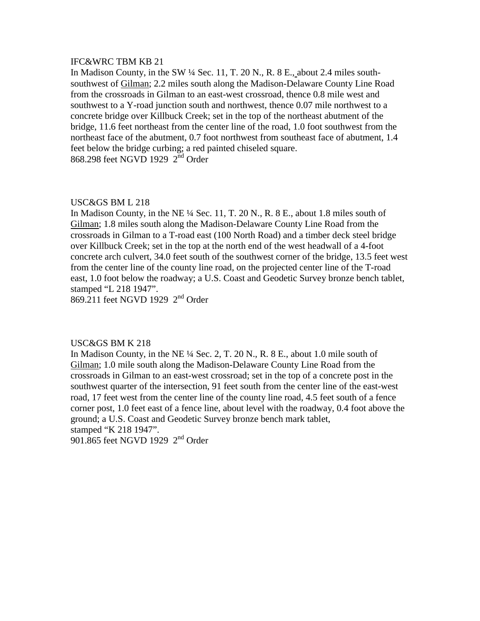In Madison County, in the SW ¼ Sec. 11, T. 20 N., R. 8 E., about 2.4 miles southsouthwest of Gilman; 2.2 miles south along the Madison-Delaware County Line Road from the crossroads in Gilman to an east-west crossroad, thence 0.8 mile west and southwest to a Y-road junction south and northwest, thence 0.07 mile northwest to a concrete bridge over Killbuck Creek; set in the top of the northeast abutment of the bridge, 11.6 feet northeast from the center line of the road, 1.0 foot southwest from the northeast face of the abutment, 0.7 foot northwest from southeast face of abutment, 1.4 feet below the bridge curbing; a red painted chiseled square. 868.298 feet NGVD 1929 2<sup>nd</sup> Order

## USC&GS BM L 218

In Madison County, in the NE  $\frac{1}{4}$  Sec. 11, T. 20 N., R. 8 E., about 1.8 miles south of Gilman; 1.8 miles south along the Madison-Delaware County Line Road from the crossroads in Gilman to a T-road east (100 North Road) and a timber deck steel bridge over Killbuck Creek; set in the top at the north end of the west headwall of a 4-foot concrete arch culvert, 34.0 feet south of the southwest corner of the bridge, 13.5 feet west from the center line of the county line road, on the projected center line of the T-road east, 1.0 foot below the roadway; a U.S. Coast and Geodetic Survey bronze bench tablet, stamped "L 218 1947".

869.211 feet NGVD 1929 2nd Order

### USC&GS BM K 218

In Madison County, in the NE  $\frac{1}{4}$  Sec. 2, T. 20 N., R. 8 E., about 1.0 mile south of Gilman; 1.0 mile south along the Madison-Delaware County Line Road from the crossroads in Gilman to an east-west crossroad; set in the top of a concrete post in the southwest quarter of the intersection, 91 feet south from the center line of the east-west road, 17 feet west from the center line of the county line road, 4.5 feet south of a fence corner post, 1.0 feet east of a fence line, about level with the roadway, 0.4 foot above the ground; a U.S. Coast and Geodetic Survey bronze bench mark tablet, stamped "K 218 1947".

901.865 feet NGVD 1929 2<sup>nd</sup> Order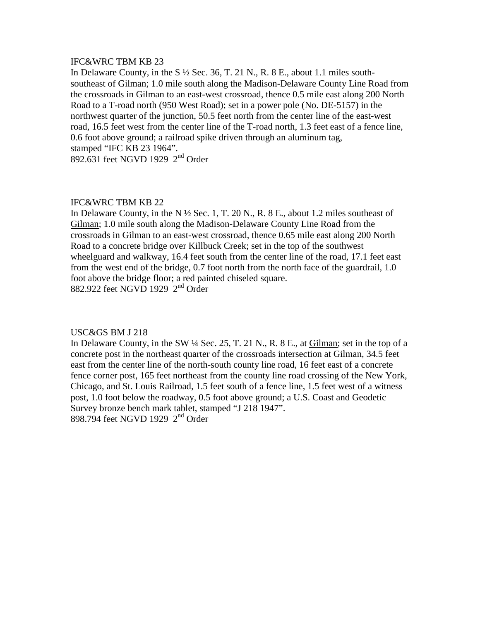In Delaware County, in the S  $\frac{1}{2}$  Sec. 36, T. 21 N., R. 8 E., about 1.1 miles southsoutheast of Gilman; 1.0 mile south along the Madison-Delaware County Line Road from the crossroads in Gilman to an east-west crossroad, thence 0.5 mile east along 200 North Road to a T-road north (950 West Road); set in a power pole (No. DE-5157) in the northwest quarter of the junction, 50.5 feet north from the center line of the east-west road, 16.5 feet west from the center line of the T-road north, 1.3 feet east of a fence line, 0.6 foot above ground; a railroad spike driven through an aluminum tag, stamped "IFC KB 23 1964". 892.631 feet NGVD 1929 2<sup>nd</sup> Order

## IFC&WRC TBM KB 22

In Delaware County, in the N  $\frac{1}{2}$  Sec. 1, T. 20 N., R. 8 E., about 1.2 miles southeast of Gilman; 1.0 mile south along the Madison-Delaware County Line Road from the crossroads in Gilman to an east-west crossroad, thence 0.65 mile east along 200 North Road to a concrete bridge over Killbuck Creek; set in the top of the southwest wheelguard and walkway, 16.4 feet south from the center line of the road, 17.1 feet east from the west end of the bridge, 0.7 foot north from the north face of the guardrail, 1.0 foot above the bridge floor; a red painted chiseled square. 882.922 feet NGVD 1929 2<sup>nd</sup> Order

## USC&GS BM J 218

In Delaware County, in the SW  $\frac{1}{4}$  Sec. 25, T. 21 N., R. 8 E., at Gilman; set in the top of a concrete post in the northeast quarter of the crossroads intersection at Gilman, 34.5 feet east from the center line of the north-south county line road, 16 feet east of a concrete fence corner post, 165 feet northeast from the county line road crossing of the New York, Chicago, and St. Louis Railroad, 1.5 feet south of a fence line, 1.5 feet west of a witness post, 1.0 foot below the roadway, 0.5 foot above ground; a U.S. Coast and Geodetic Survey bronze bench mark tablet, stamped "J 218 1947". 898.794 feet NGVD 1929 2nd Order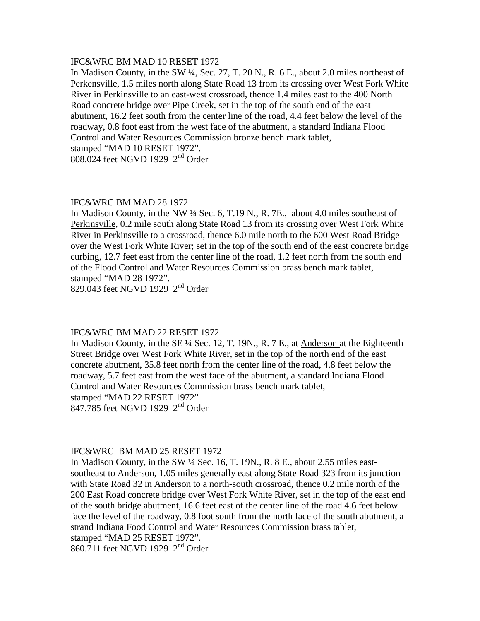### IFC&WRC BM MAD 10 RESET 1972

In Madison County, in the SW ¼, Sec. 27, T. 20 N., R. 6 E., about 2.0 miles northeast of Perkensville, 1.5 miles north along State Road 13 from its crossing over West Fork White River in Perkinsville to an east-west crossroad, thence 1.4 miles east to the 400 North Road concrete bridge over Pipe Creek, set in the top of the south end of the east abutment, 16.2 feet south from the center line of the road, 4.4 feet below the level of the roadway, 0.8 foot east from the west face of the abutment, a standard Indiana Flood Control and Water Resources Commission bronze bench mark tablet, stamped "MAD 10 RESET 1972".

808.024 feet NGVD 1929 2nd Order

## IFC&WRC BM MAD 28 1972

In Madison County, in the NW ¼ Sec. 6, T.19 N., R. 7E., about 4.0 miles southeast of Perkinsville, 0.2 mile south along State Road 13 from its crossing over West Fork White River in Perkinsville to a crossroad, thence 6.0 mile north to the 600 West Road Bridge over the West Fork White River; set in the top of the south end of the east concrete bridge curbing, 12.7 feet east from the center line of the road, 1.2 feet north from the south end of the Flood Control and Water Resources Commission brass bench mark tablet, stamped "MAD 28 1972".

829.043 feet NGVD 1929 2<sup>nd</sup> Order

## IFC&WRC BM MAD 22 RESET 1972

In Madison County, in the SE ¼ Sec. 12, T. 19N., R. 7 E., at Anderson at the Eighteenth Street Bridge over West Fork White River, set in the top of the north end of the east concrete abutment, 35.8 feet north from the center line of the road, 4.8 feet below the roadway, 5.7 feet east from the west face of the abutment, a standard Indiana Flood Control and Water Resources Commission brass bench mark tablet, stamped "MAD 22 RESET 1972" 847.785 feet NGVD 1929 2<sup>nd</sup> Order

#### IFC&WRC BM MAD 25 RESET 1972

In Madison County, in the SW  $\frac{1}{4}$  Sec. 16, T. 19N., R. 8 E., about 2.55 miles eastsoutheast to Anderson, 1.05 miles generally east along State Road 323 from its junction with State Road 32 in Anderson to a north-south crossroad, thence 0.2 mile north of the 200 East Road concrete bridge over West Fork White River, set in the top of the east end of the south bridge abutment, 16.6 feet east of the center line of the road 4.6 feet below face the level of the roadway, 0.8 foot south from the north face of the south abutment, a strand Indiana Food Control and Water Resources Commission brass tablet, stamped "MAD 25 RESET 1972".

860.711 feet NGVD 1929 2<sup>nd</sup> Order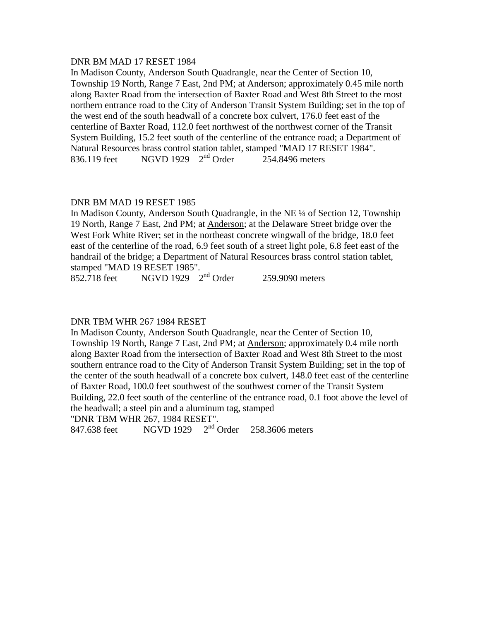## DNR BM MAD 17 RESET 1984

In Madison County, Anderson South Quadrangle, near the Center of Section 10, Township 19 North, Range 7 East, 2nd PM; at Anderson; approximately 0.45 mile north along Baxter Road from the intersection of Baxter Road and West 8th Street to the most northern entrance road to the City of Anderson Transit System Building; set in the top of the west end of the south headwall of a concrete box culvert, 176.0 feet east of the centerline of Baxter Road, 112.0 feet northwest of the northwest corner of the Transit System Building, 15.2 feet south of the centerline of the entrance road; a Department of Natural Resources brass control station tablet, stamped "MAD 17 RESET 1984". 836.119 feet  $NGVD$  1929  $2<sup>nd</sup>$  Order 254.8496 meters

# DNR BM MAD 19 RESET 1985

In Madison County, Anderson South Quadrangle, in the NE ¼ of Section 12, Township 19 North, Range 7 East, 2nd PM; at Anderson; at the Delaware Street bridge over the West Fork White River; set in the northeast concrete wingwall of the bridge, 18.0 feet east of the centerline of the road, 6.9 feet south of a street light pole, 6.8 feet east of the handrail of the bridge; a Department of Natural Resources brass control station tablet, stamped "MAD 19 RESET 1985".

852.718 feet NGVD 1929 2<sup>nd</sup> Order 259.9090 meters

# DNR TBM WHR 267 1984 RESET

In Madison County, Anderson South Quadrangle, near the Center of Section 10, Township 19 North, Range 7 East, 2nd PM; at Anderson; approximately 0.4 mile north along Baxter Road from the intersection of Baxter Road and West 8th Street to the most southern entrance road to the City of Anderson Transit System Building; set in the top of the center of the south headwall of a concrete box culvert, 148.0 feet east of the centerline of Baxter Road, 100.0 feet southwest of the southwest corner of the Transit System Building, 22.0 feet south of the centerline of the entrance road, 0.1 foot above the level of the headwall; a steel pin and a aluminum tag, stamped

"DNR TBM WHR 267, 1984 RESET".

847.638 feet NGVD 1929 2nd Order 258.3606 meters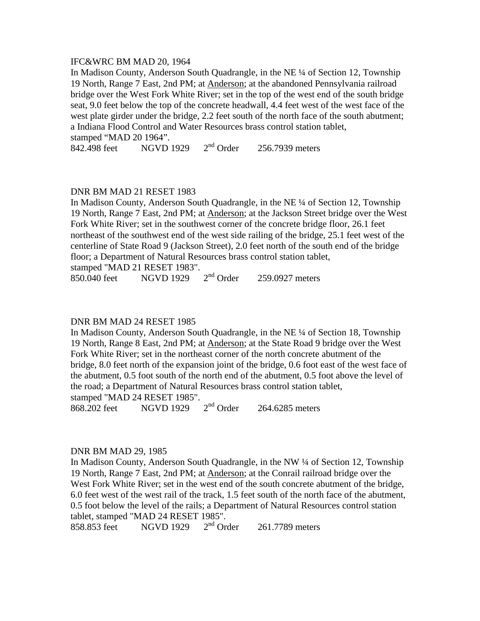## IFC&WRC BM MAD 20, 1964

In Madison County, Anderson South Quadrangle, in the NE ¼ of Section 12, Township 19 North, Range 7 East, 2nd PM; at Anderson; at the abandoned Pennsylvania railroad bridge over the West Fork White River; set in the top of the west end of the south bridge seat, 9.0 feet below the top of the concrete headwall, 4.4 feet west of the west face of the west plate girder under the bridge, 2.2 feet south of the north face of the south abutment; a Indiana Flood Control and Water Resources brass control station tablet, stamped "MAD 20 1964".

842.498 feet NGVD 1929 2<sup>nd</sup> Order 256.7939 meters

## DNR BM MAD 21 RESET 1983

In Madison County, Anderson South Quadrangle, in the NE ¼ of Section 12, Township 19 North, Range 7 East, 2nd PM; at Anderson; at the Jackson Street bridge over the West Fork White River; set in the southwest corner of the concrete bridge floor, 26.1 feet northeast of the southwest end of the west side railing of the bridge, 25.1 feet west of the centerline of State Road 9 (Jackson Street), 2.0 feet north of the south end of the bridge floor; a Department of Natural Resources brass control station tablet,

stamped "MAD 21 RESET 1983".<br>850.040 feet NGVD 1929 2<sup>nd</sup> Order 850.040 feet  $NGVD 1929 \t 2^{nd} Order \t 259.0927 meters$ 

#### DNR BM MAD 24 RESET 1985

In Madison County, Anderson South Quadrangle, in the NE ¼ of Section 18, Township 19 North, Range 8 East, 2nd PM; at Anderson; at the State Road 9 bridge over the West Fork White River; set in the northeast corner of the north concrete abutment of the bridge, 8.0 feet north of the expansion joint of the bridge, 0.6 foot east of the west face of the abutment, 0.5 foot south of the north end of the abutment, 0.5 foot above the level of the road; a Department of Natural Resources brass control station tablet,

stamped "MAD 24 RESET 1985".<br>868.202 feet MGVD 1929 2<sup>nd</sup> Order 868.202 feet NGVD 1929 2nd Order 264.6285 meters

#### DNR BM MAD 29, 1985

In Madison County, Anderson South Quadrangle, in the NW ¼ of Section 12, Township 19 North, Range 7 East, 2nd PM; at Anderson; at the Conrail railroad bridge over the West Fork White River; set in the west end of the south concrete abutment of the bridge, 6.0 feet west of the west rail of the track, 1.5 feet south of the north face of the abutment, 0.5 foot below the level of the rails; a Department of Natural Resources control station tablet, stamped "MAD 24 RESET 1985".<br>858.853 feet NGVD 1929  $2<sup>nd</sup>$  Order

858.853 feet MGVD 1929 2<sup>nd</sup> Order 261.7789 meters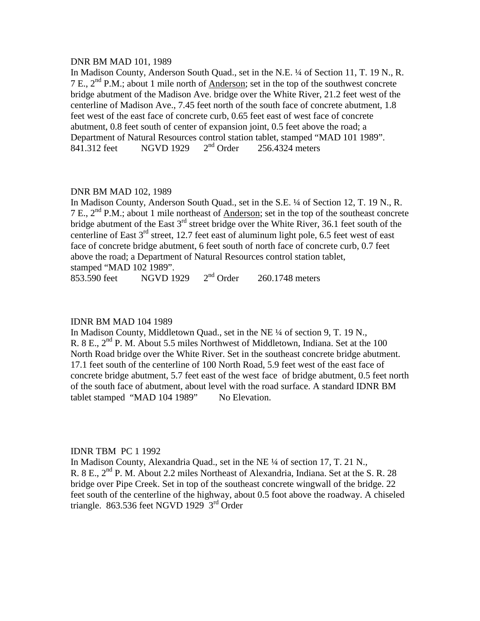### DNR BM MAD 101, 1989

In Madison County, Anderson South Quad., set in the N.E. ¼ of Section 11, T. 19 N., R. 7 E.,  $2<sup>nd</sup>$  P.M.; about 1 mile north of Anderson; set in the top of the southwest concrete bridge abutment of the Madison Ave. bridge over the White River, 21.2 feet west of the centerline of Madison Ave., 7.45 feet north of the south face of concrete abutment, 1.8 feet west of the east face of concrete curb, 0.65 feet east of west face of concrete abutment, 0.8 feet south of center of expansion joint, 0.5 feet above the road; a Department of Natural Resources control station tablet, stamped "MAD 101 1989".<br>841.312 feet NGVD 1929  $2<sup>nd</sup>$  Order 256.4324 meters 841.312 feet NGVD 1929 2<sup>nd</sup> Order 256.4324 meters

## DNR BM MAD 102, 1989

In Madison County, Anderson South Quad., set in the S.E. ¼ of Section 12, T. 19 N., R. 7 E.,  $2<sup>nd</sup>$  P.M.; about 1 mile northeast of Anderson; set in the top of the southeast concrete bridge abutment of the East  $3<sup>rd</sup>$  street bridge over the White River, 36.1 feet south of the centerline of East 3rd street, 12.7 feet east of aluminum light pole, 6.5 feet west of east face of concrete bridge abutment, 6 feet south of north face of concrete curb, 0.7 feet above the road; a Department of Natural Resources control station tablet, stamped "MAD 102 1989".

853.590 feet  $NGVD 1929 2<sup>nd</sup> Order 260.1748 meters$ 

## IDNR BM MAD 104 1989

In Madison County, Middletown Quad., set in the NE ¼ of section 9, T. 19 N., R. 8 E.,  $2^{nd}$  P. M. About 5.5 miles Northwest of Middletown, Indiana. Set at the 100 North Road bridge over the White River. Set in the southeast concrete bridge abutment. 17.1 feet south of the centerline of 100 North Road, 5.9 feet west of the east face of concrete bridge abutment, 5.7 feet east of the west face of bridge abutment, 0.5 feet north of the south face of abutment, about level with the road surface. A standard IDNR BM tablet stamped "MAD 104 1989" No Elevation.

## IDNR TBM PC 1 1992

In Madison County, Alexandria Quad., set in the NE ¼ of section 17, T. 21 N., R. 8 E.,  $2<sup>nd</sup>$  P. M. About 2.2 miles Northeast of Alexandria, Indiana. Set at the S. R. 28 bridge over Pipe Creek. Set in top of the southeast concrete wingwall of the bridge. 22 feet south of the centerline of the highway, about 0.5 foot above the roadway. A chiseled triangle. 863.536 feet NGVD 1929  $3<sup>rd</sup>$  Order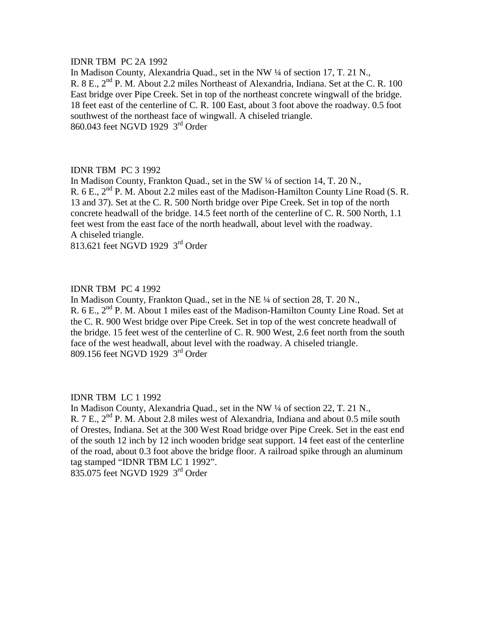## IDNR TBM PC 2A 1992

In Madison County, Alexandria Quad., set in the NW ¼ of section 17, T. 21 N., R. 8 E.,  $2<sup>nd</sup>$  P. M. About 2.2 miles Northeast of Alexandria, Indiana. Set at the C. R. 100 East bridge over Pipe Creek. Set in top of the northeast concrete wingwall of the bridge. 18 feet east of the centerline of C. R. 100 East, about 3 foot above the roadway. 0.5 foot southwest of the northeast face of wingwall. A chiseled triangle. 860.043 feet NGVD 1929 3rd Order

## IDNR TBM PC 3 1992

In Madison County, Frankton Quad., set in the SW ¼ of section 14, T. 20 N., R. 6 E.,  $2<sup>nd</sup>$  P. M. About 2.2 miles east of the Madison-Hamilton County Line Road (S. R. 13 and 37). Set at the C. R. 500 North bridge over Pipe Creek. Set in top of the north concrete headwall of the bridge. 14.5 feet north of the centerline of C. R. 500 North, 1.1 feet west from the east face of the north headwall, about level with the roadway. A chiseled triangle.

813.621 feet NGVD 1929 3rd Order

# IDNR TBM PC 4 1992

In Madison County, Frankton Quad., set in the NE ¼ of section 28, T. 20 N., R.  $6$  E.,  $2<sup>nd</sup>$  P. M. About 1 miles east of the Madison-Hamilton County Line Road. Set at the C. R. 900 West bridge over Pipe Creek. Set in top of the west concrete headwall of the bridge. 15 feet west of the centerline of C. R. 900 West, 2.6 feet north from the south face of the west headwall, about level with the roadway. A chiseled triangle. 809.156 feet NGVD 1929 3rd Order

#### IDNR TBM LC 1 1992

In Madison County, Alexandria Quad., set in the NW ¼ of section 22, T. 21 N., R. 7 E., 2<sup>nd</sup> P. M. About 2.8 miles west of Alexandria, Indiana and about 0.5 mile south of Orestes, Indiana. Set at the 300 West Road bridge over Pipe Creek. Set in the east end of the south 12 inch by 12 inch wooden bridge seat support. 14 feet east of the centerline of the road, about 0.3 foot above the bridge floor. A railroad spike through an aluminum tag stamped "IDNR TBM LC 1 1992". 835.075 feet NGVD 1929 3rd Order